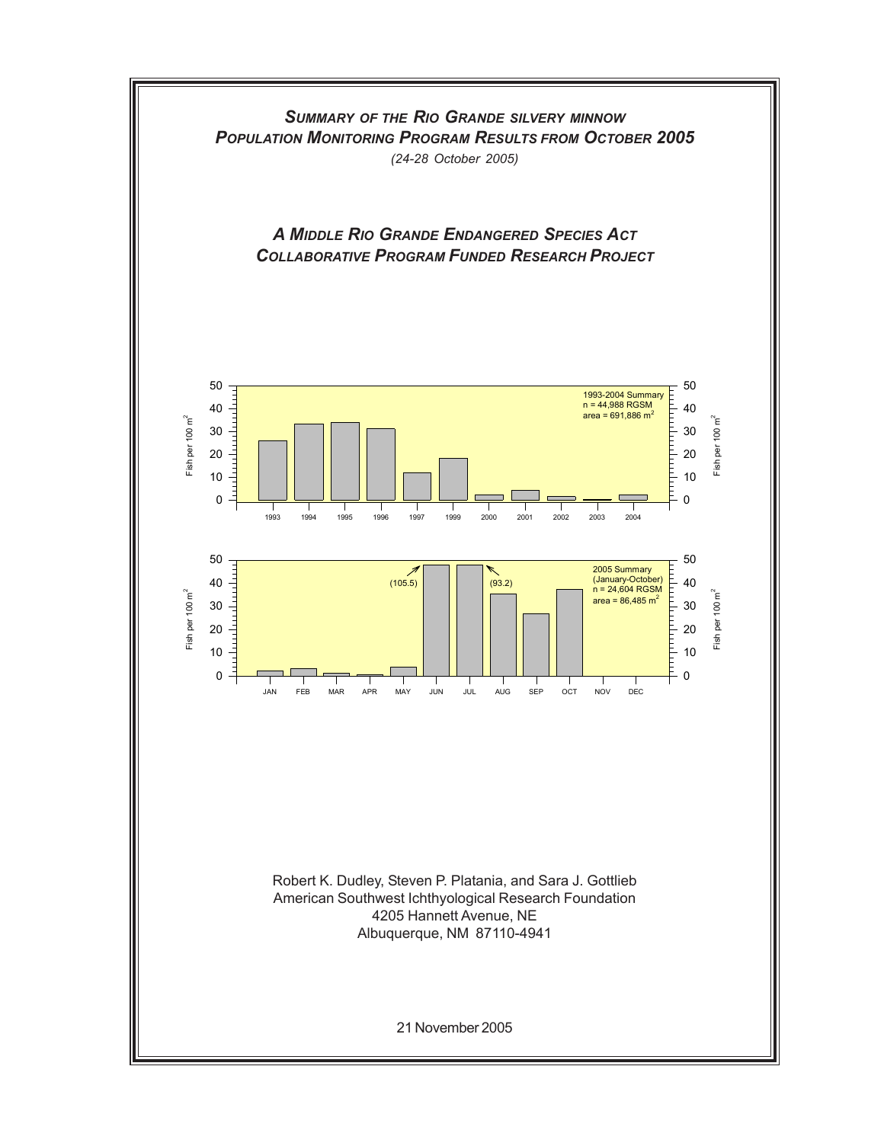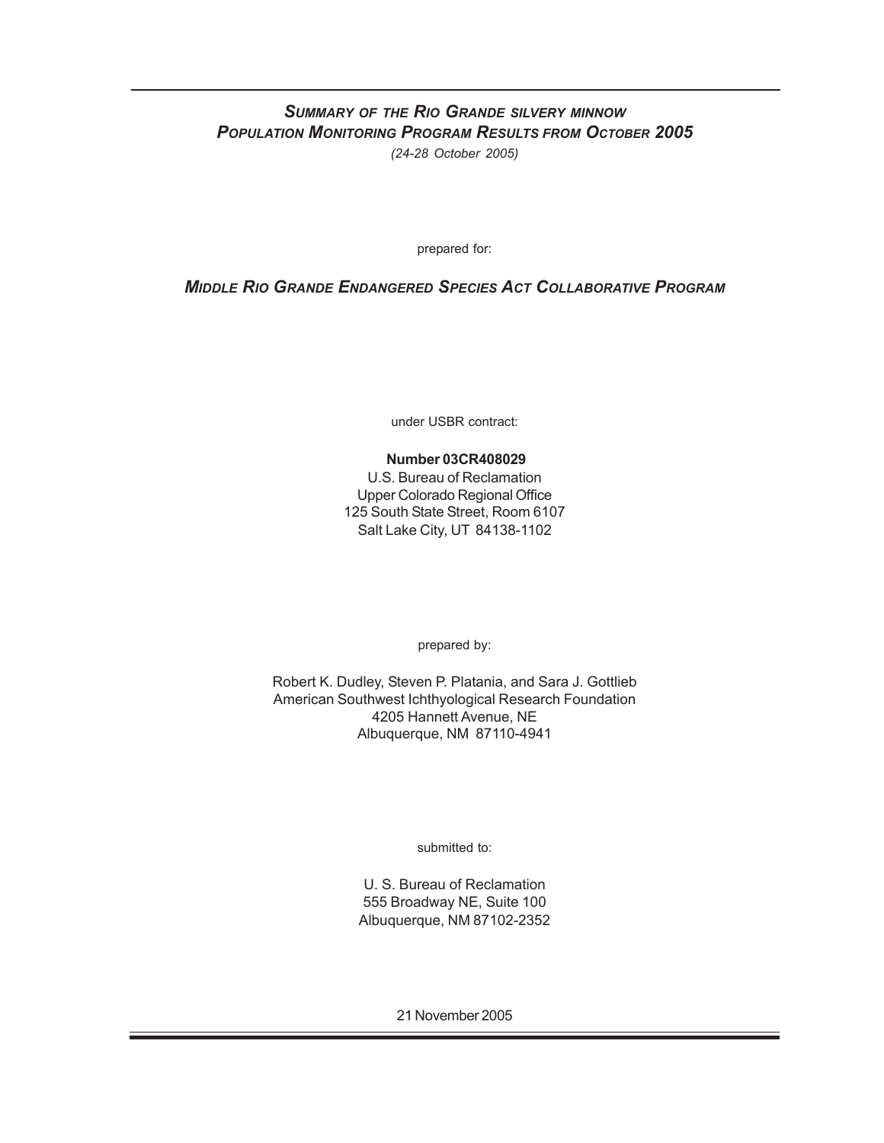## *SUMMARY OF THE RIO GRANDE SILVERY MINNOW POPULATION MONITORING PROGRAM RESULTS FROM OCTOBER 2005 (24-28 October 2005)*

prepared for:

## *MIDDLE RIO GRANDE ENDANGERED SPECIES ACT COLLABORATIVE PROGRAM*

under USBR contract:

### **Number 03CR408029**

U.S. Bureau of Reclamation Upper Colorado Regional Office 125 South State Street, Room 6107 Salt Lake City, UT 84138-1102

prepared by:

Robert K. Dudley, Steven P. Platania, and Sara J. Gottlieb American Southwest Ichthyological Research Foundation 4205 Hannett Avenue, NE Albuquerque, NM 87110-4941

submitted to:

U. S. Bureau of Reclamation 555 Broadway NE, Suite 100 Albuquerque, NM 87102-2352

21 November 2005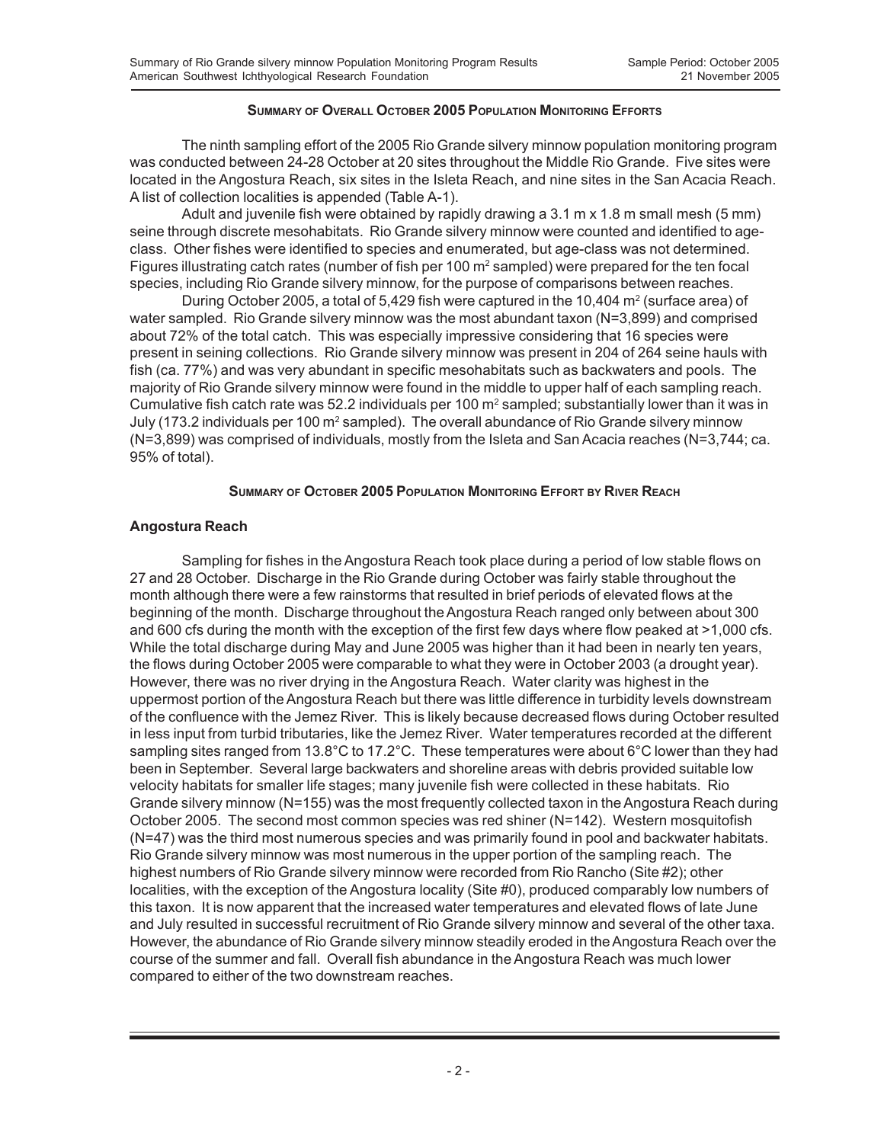#### **SUMMARY OF OVERALL OCTOBER 2005 POPULATION MONITORING EFFORTS**

The ninth sampling effort of the 2005 Rio Grande silvery minnow population monitoring program was conducted between 24-28 October at 20 sites throughout the Middle Rio Grande. Five sites were located in the Angostura Reach, six sites in the Isleta Reach, and nine sites in the San Acacia Reach. A list of collection localities is appended (Table A-1).

Adult and juvenile fish were obtained by rapidly drawing a 3.1 m x 1.8 m small mesh (5 mm) seine through discrete mesohabitats. Rio Grande silvery minnow were counted and identified to ageclass. Other fishes were identified to species and enumerated, but age-class was not determined. Figures illustrating catch rates (number of fish per 100 m<sup>2</sup> sampled) were prepared for the ten focal species, including Rio Grande silvery minnow, for the purpose of comparisons between reaches.

During October 2005, a total of 5,429 fish were captured in the 10,404  $m^2$  (surface area) of water sampled. Rio Grande silvery minnow was the most abundant taxon (N=3,899) and comprised about 72% of the total catch. This was especially impressive considering that 16 species were present in seining collections. Rio Grande silvery minnow was present in 204 of 264 seine hauls with fish (ca. 77%) and was very abundant in specific mesohabitats such as backwaters and pools. The majority of Rio Grande silvery minnow were found in the middle to upper half of each sampling reach. Cumulative fish catch rate was 52.2 individuals per 100 m<sup>2</sup> sampled; substantially lower than it was in July (173.2 individuals per 100 m<sup>2</sup> sampled). The overall abundance of Rio Grande silvery minnow (N=3,899) was comprised of individuals, mostly from the Isleta and San Acacia reaches (N=3,744; ca. 95% of total).

### **SUMMARY OF OCTOBER 2005 POPULATION MONITORING EFFORT BY RIVER REACH**

### **Angostura Reach**

Sampling for fishes in the Angostura Reach took place during a period of low stable flows on 27 and 28 October. Discharge in the Rio Grande during October was fairly stable throughout the month although there were a few rainstorms that resulted in brief periods of elevated flows at the beginning of the month. Discharge throughout the Angostura Reach ranged only between about 300 and 600 cfs during the month with the exception of the first few days where flow peaked at >1,000 cfs. While the total discharge during May and June 2005 was higher than it had been in nearly ten years, the flows during October 2005 were comparable to what they were in October 2003 (a drought year). However, there was no river drying in the Angostura Reach. Water clarity was highest in the uppermost portion of the Angostura Reach but there was little difference in turbidity levels downstream of the confluence with the Jemez River. This is likely because decreased flows during October resulted in less input from turbid tributaries, like the Jemez River. Water temperatures recorded at the different sampling sites ranged from 13.8°C to 17.2°C. These temperatures were about 6°C lower than they had been in September. Several large backwaters and shoreline areas with debris provided suitable low velocity habitats for smaller life stages; many juvenile fish were collected in these habitats. Rio Grande silvery minnow (N=155) was the most frequently collected taxon in the Angostura Reach during October 2005. The second most common species was red shiner (N=142). Western mosquitofish (N=47) was the third most numerous species and was primarily found in pool and backwater habitats. Rio Grande silvery minnow was most numerous in the upper portion of the sampling reach. The highest numbers of Rio Grande silvery minnow were recorded from Rio Rancho (Site #2); other localities, with the exception of the Angostura locality (Site #0), produced comparably low numbers of this taxon. It is now apparent that the increased water temperatures and elevated flows of late June and July resulted in successful recruitment of Rio Grande silvery minnow and several of the other taxa. However, the abundance of Rio Grande silvery minnow steadily eroded in the Angostura Reach over the course of the summer and fall. Overall fish abundance in the Angostura Reach was much lower compared to either of the two downstream reaches.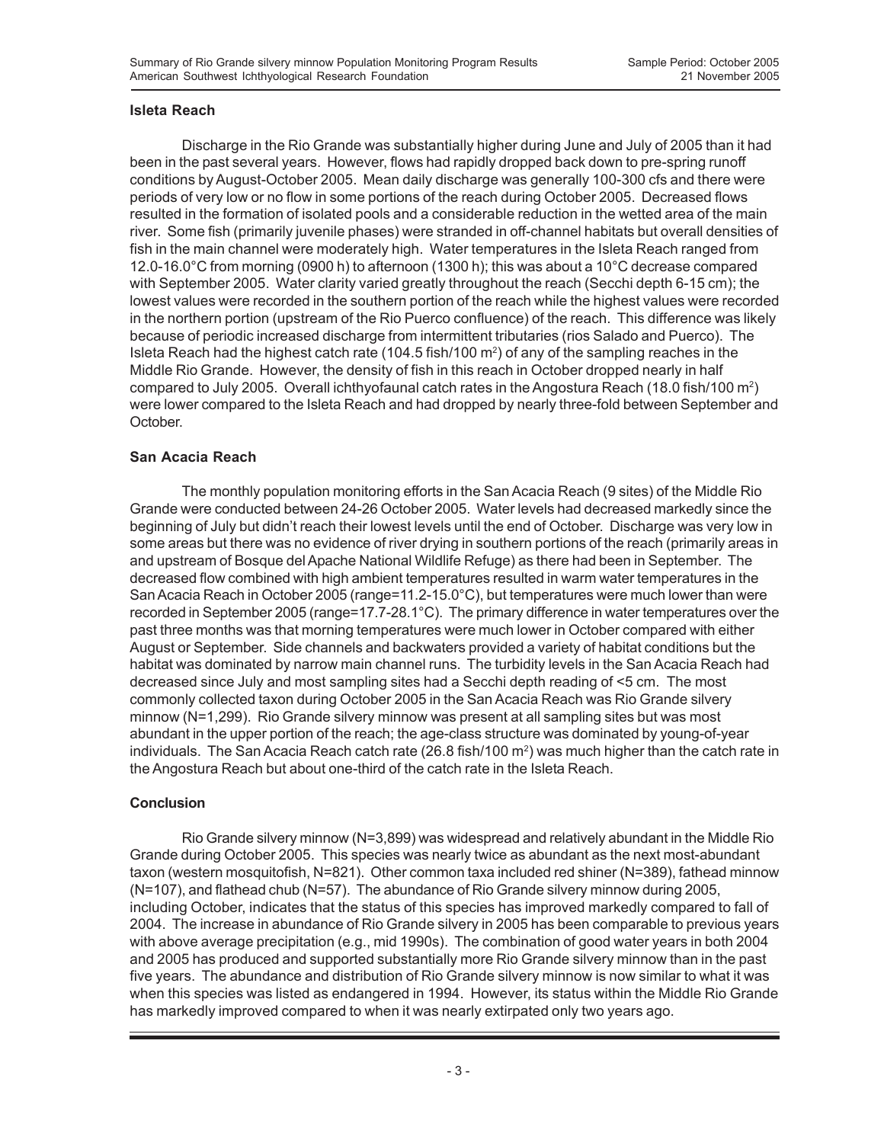### **Isleta Reach**

Discharge in the Rio Grande was substantially higher during June and July of 2005 than it had been in the past several years. However, flows had rapidly dropped back down to pre-spring runoff conditions by August-October 2005. Mean daily discharge was generally 100-300 cfs and there were periods of very low or no flow in some portions of the reach during October 2005. Decreased flows resulted in the formation of isolated pools and a considerable reduction in the wetted area of the main river. Some fish (primarily juvenile phases) were stranded in off-channel habitats but overall densities of fish in the main channel were moderately high. Water temperatures in the Isleta Reach ranged from 12.0-16.0°C from morning (0900 h) to afternoon (1300 h); this was about a 10°C decrease compared with September 2005. Water clarity varied greatly throughout the reach (Secchi depth 6-15 cm); the lowest values were recorded in the southern portion of the reach while the highest values were recorded in the northern portion (upstream of the Rio Puerco confluence) of the reach. This difference was likely because of periodic increased discharge from intermittent tributaries (rios Salado and Puerco). The Isleta Reach had the highest catch rate (104.5 fish/100 m<sup>2</sup>) of any of the sampling reaches in the Middle Rio Grande. However, the density of fish in this reach in October dropped nearly in half compared to July 2005. Overall ichthyofaunal catch rates in the Angostura Reach (18.0 fish/100 m<sup>2</sup>) were lower compared to the Isleta Reach and had dropped by nearly three-fold between September and October.

### **San Acacia Reach**

The monthly population monitoring efforts in the San Acacia Reach (9 sites) of the Middle Rio Grande were conducted between 24-26 October 2005. Water levels had decreased markedly since the beginning of July but didn't reach their lowest levels until the end of October. Discharge was very low in some areas but there was no evidence of river drying in southern portions of the reach (primarily areas in and upstream of Bosque del Apache National Wildlife Refuge) as there had been in September. The decreased flow combined with high ambient temperatures resulted in warm water temperatures in the San Acacia Reach in October 2005 (range=11.2-15.0°C), but temperatures were much lower than were recorded in September 2005 (range=17.7-28.1°C). The primary difference in water temperatures over the past three months was that morning temperatures were much lower in October compared with either August or September. Side channels and backwaters provided a variety of habitat conditions but the habitat was dominated by narrow main channel runs. The turbidity levels in the San Acacia Reach had decreased since July and most sampling sites had a Secchi depth reading of <5 cm. The most commonly collected taxon during October 2005 in the San Acacia Reach was Rio Grande silvery minnow (N=1,299). Rio Grande silvery minnow was present at all sampling sites but was most abundant in the upper portion of the reach; the age-class structure was dominated by young-of-year individuals. The San Acacia Reach catch rate (26.8 fish/100  $\text{m}^2$ ) was much higher than the catch rate in the Angostura Reach but about one-third of the catch rate in the Isleta Reach.

### **Conclusion**

Rio Grande silvery minnow (N=3,899) was widespread and relatively abundant in the Middle Rio Grande during October 2005. This species was nearly twice as abundant as the next most-abundant taxon (western mosquitofish, N=821). Other common taxa included red shiner (N=389), fathead minnow (N=107), and flathead chub (N=57). The abundance of Rio Grande silvery minnow during 2005, including October, indicates that the status of this species has improved markedly compared to fall of 2004. The increase in abundance of Rio Grande silvery in 2005 has been comparable to previous years with above average precipitation (e.g., mid 1990s). The combination of good water years in both 2004 and 2005 has produced and supported substantially more Rio Grande silvery minnow than in the past five years. The abundance and distribution of Rio Grande silvery minnow is now similar to what it was when this species was listed as endangered in 1994. However, its status within the Middle Rio Grande has markedly improved compared to when it was nearly extirpated only two years ago.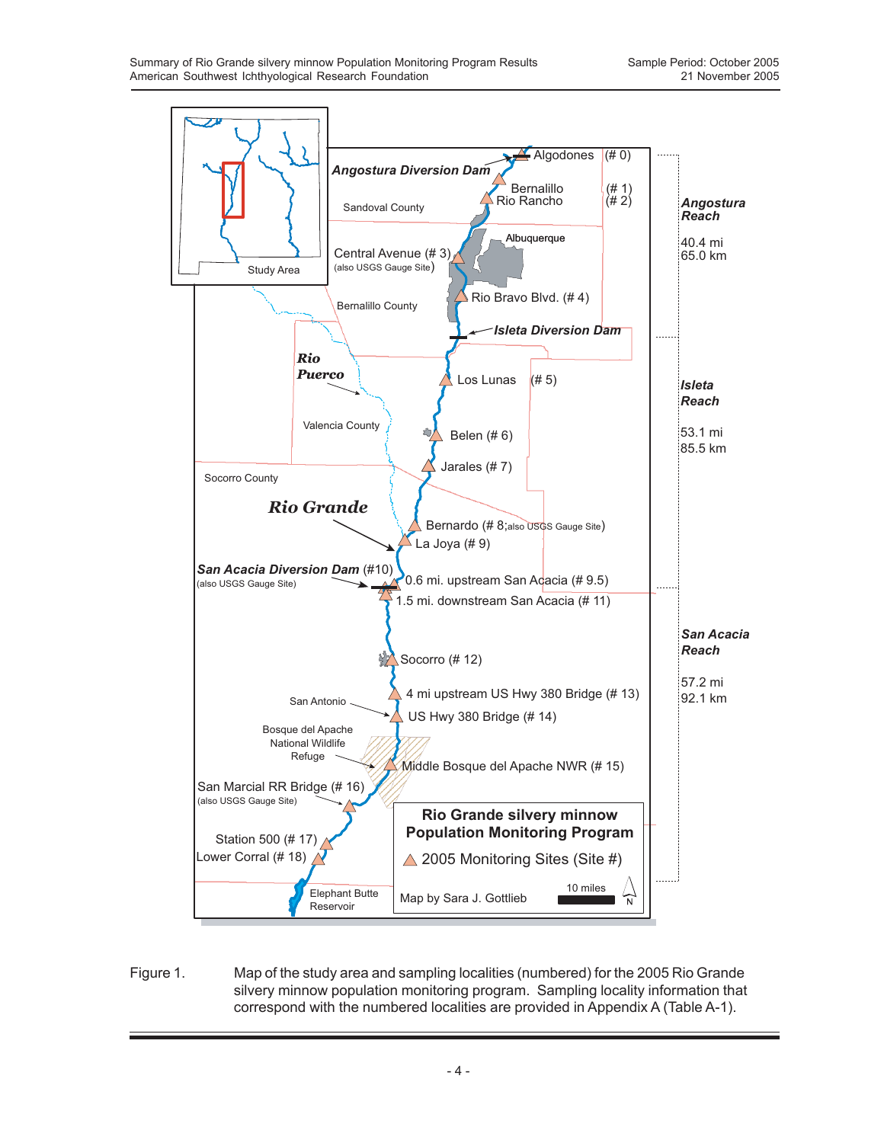

Figure 1. Map of the study area and sampling localities (numbered) for the 2005 Rio Grande silvery minnow population monitoring program. Sampling locality information that correspond with the numbered localities are provided in Appendix A (Table A-1).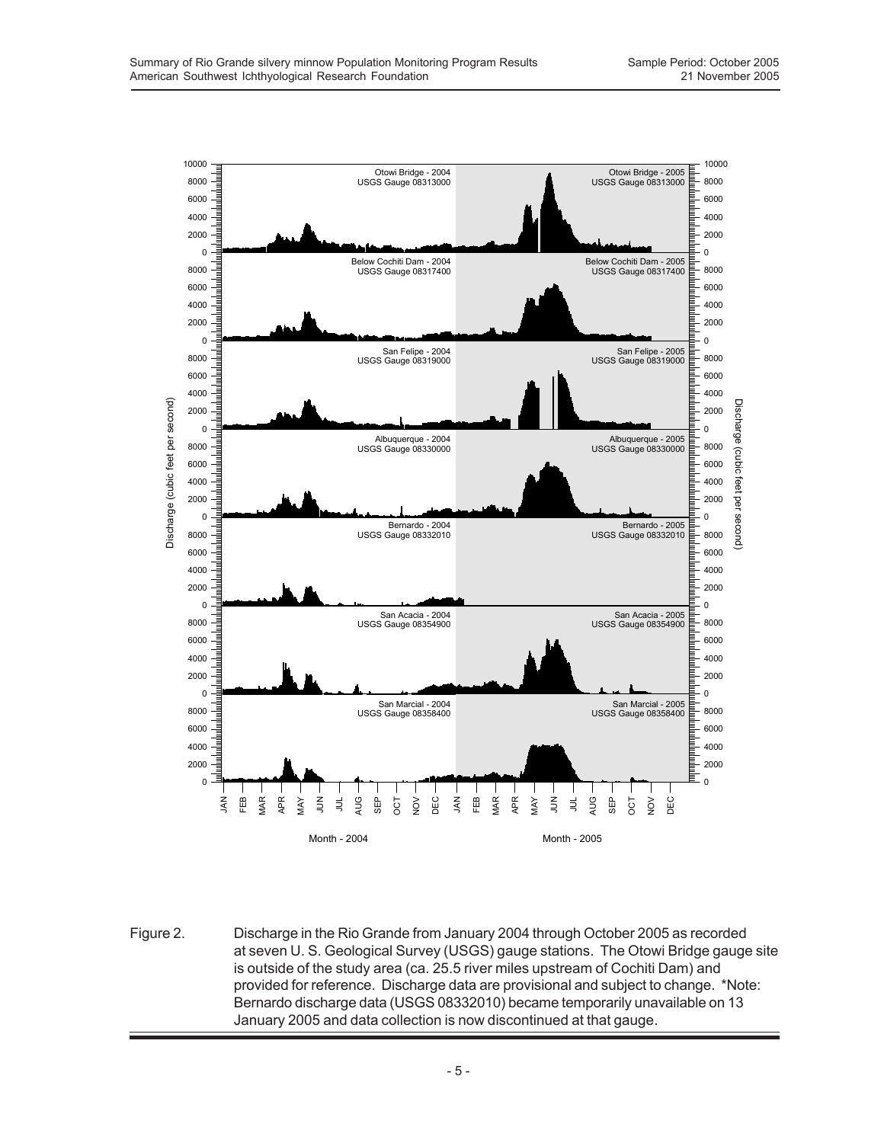

Figure 2. Discharge in the Rio Grande from January 2004 through October 2005 as recorded at seven U. S. Geological Survey (USGS) gauge stations. The Otowi Bridge gauge site is outside of the study area (ca. 25.5 river miles upstream of Cochiti Dam) and provided for reference. Discharge data are provisional and subject to change. \*Note: Bernardo discharge data (USGS 08332010) became temporarily unavailable on 13 January 2005 and data collection is now discontinued at that gauge.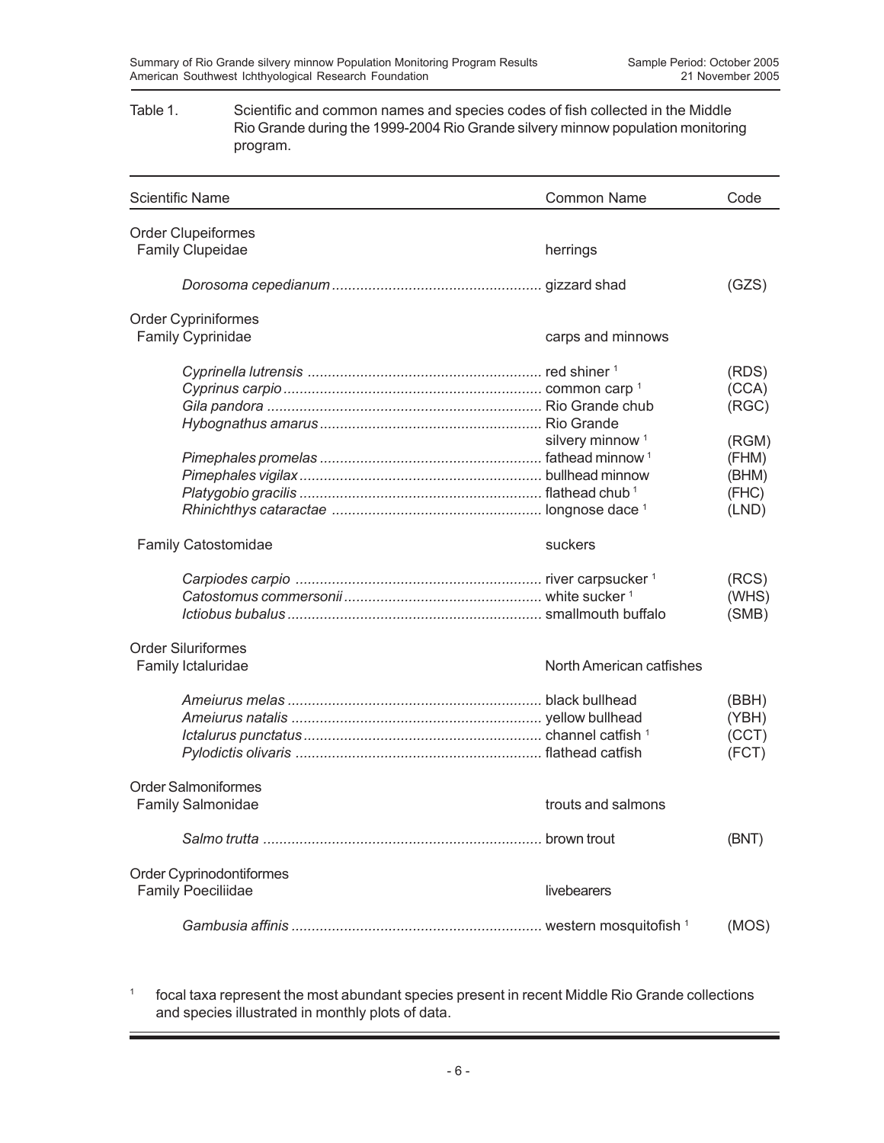### Table 1. Scientific and common names and species codes of fish collected in the Middle Rio Grande during the 1999-2004 Rio Grande silvery minnow population monitoring program.

| <b>Scientific Name</b>     | <b>Common Name</b>          | Code  |
|----------------------------|-----------------------------|-------|
| <b>Order Clupeiformes</b>  |                             |       |
| <b>Family Clupeidae</b>    | herrings                    |       |
|                            |                             | (GZS) |
| <b>Order Cypriniformes</b> |                             |       |
| Family Cyprinidae          | carps and minnows           |       |
|                            |                             | (RDS) |
|                            |                             | (CCA) |
|                            |                             | (RGC) |
|                            |                             |       |
|                            | silvery minnow <sup>1</sup> | (RGM) |
|                            |                             | (FHM) |
|                            |                             | (BHM) |
|                            |                             | (FHC) |
|                            |                             | (LND) |
| <b>Family Catostomidae</b> | suckers                     |       |
|                            |                             | (RCS) |
|                            |                             | (WHS) |
|                            |                             | (SMB) |
| <b>Order Siluriformes</b>  |                             |       |
| Family Ictaluridae         | North American catfishes    |       |
|                            |                             | (BBH) |
|                            |                             | (YBH) |
|                            |                             | (CCT) |
|                            |                             | (FCT) |
| <b>Order Salmoniformes</b> |                             |       |
| Family Salmonidae          | trouts and salmons          |       |
|                            |                             | (BNT) |
| Order Cyprinodontiformes   |                             |       |
| <b>Family Poeciliidae</b>  | livebearers                 |       |
|                            |                             | (MOS) |

<sup>1</sup> focal taxa represent the most abundant species present in recent Middle Rio Grande collections and species illustrated in monthly plots of data.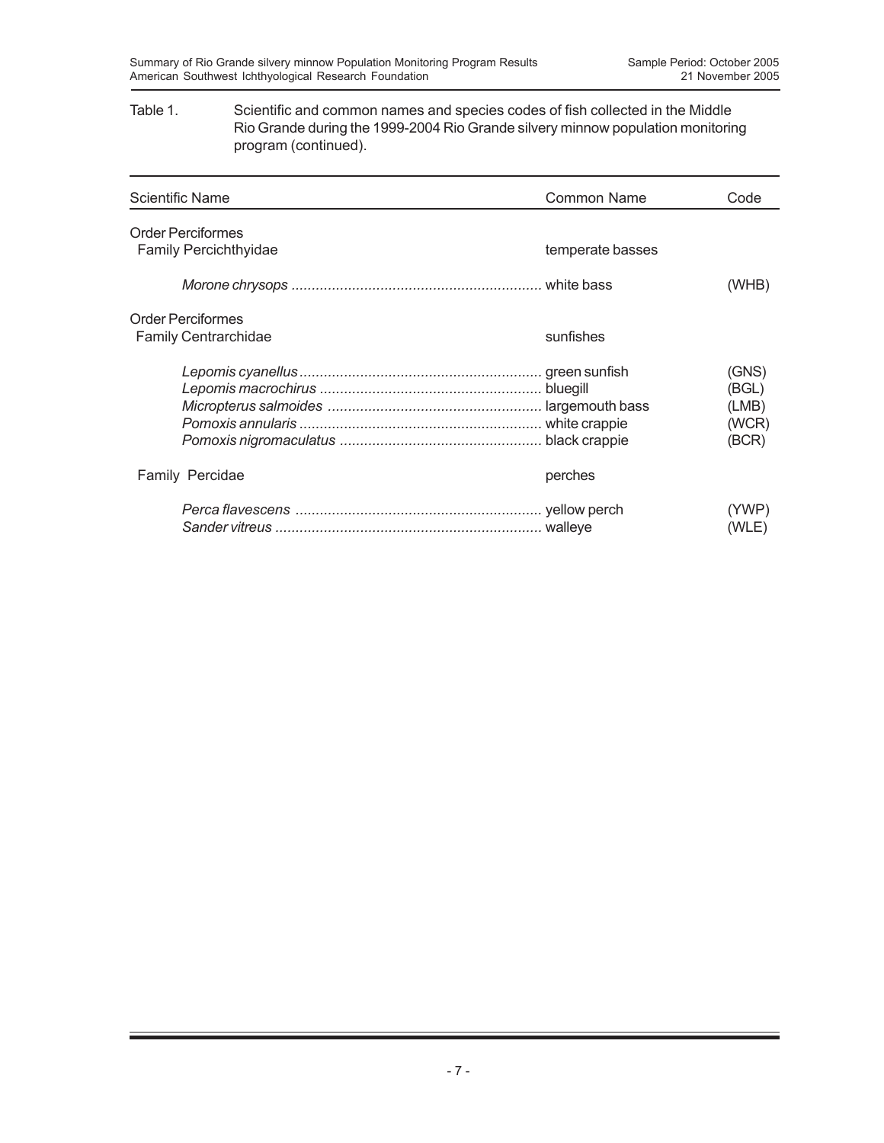### Table 1. Scientific and common names and species codes of fish collected in the Middle Rio Grande during the 1999-2004 Rio Grande silvery minnow population monitoring program (continued).

| <b>Scientific Name</b>                                  | Common Name      | Code                                      |
|---------------------------------------------------------|------------------|-------------------------------------------|
| <b>Order Perciformes</b><br>Family Percichthyidae       | temperate basses |                                           |
|                                                         |                  | (WHB)                                     |
| <b>Order Perciformes</b><br><b>Family Centrarchidae</b> | sunfishes        |                                           |
|                                                         |                  | (GNS)<br>(BGL)<br>(LMB)<br>(WCR)<br>(BCR) |
| Family Percidae                                         | perches          |                                           |
|                                                         |                  | (YWP)<br>(WLE)                            |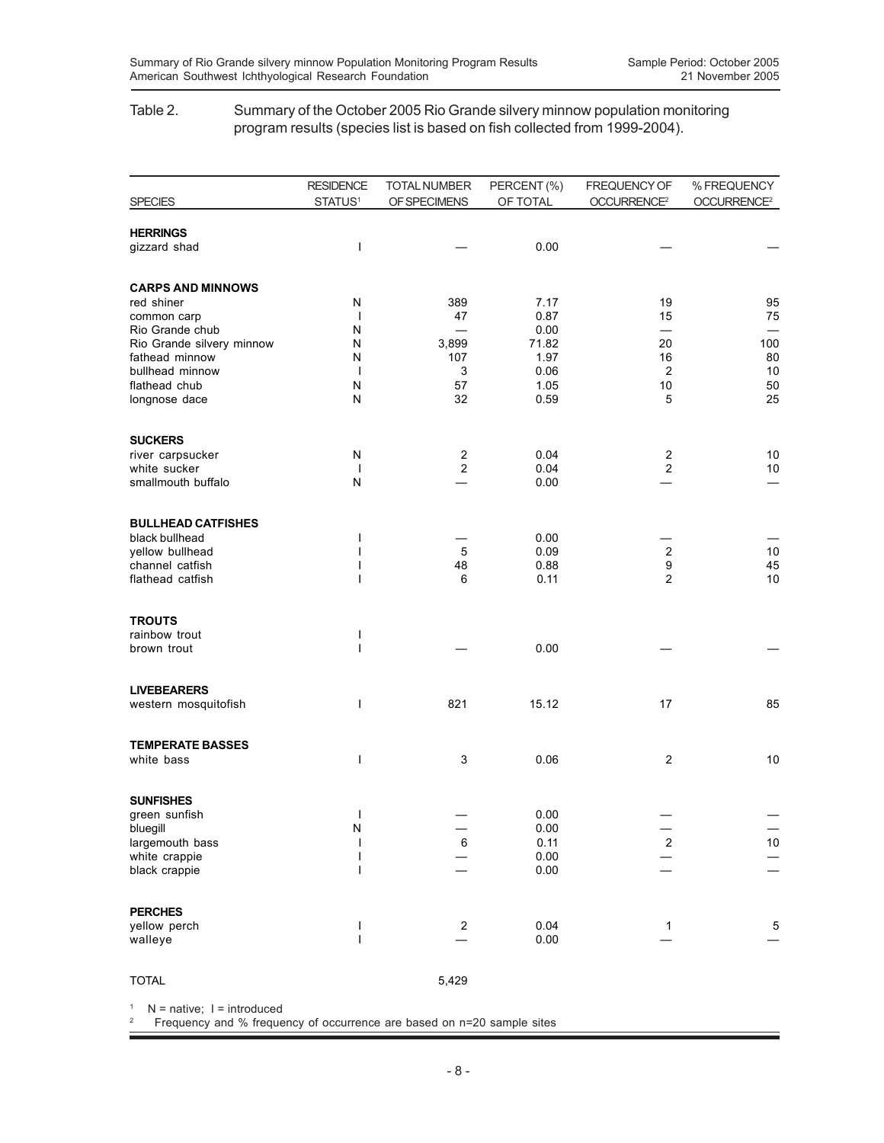### Table 2. Summary of the October 2005 Rio Grande silvery minnow population monitoring program results (species list is based on fish collected from 1999-2004).

|                                    | <b>RESIDENCE</b>    | TOTAL NUMBER            | PERCENT (%)  | FREQUENCY OF                   | % FREQUENCY             |
|------------------------------------|---------------------|-------------------------|--------------|--------------------------------|-------------------------|
| <b>SPECIES</b>                     | STATUS <sup>1</sup> | OF SPECIMENS            | OF TOTAL     | OCCURRENCE <sup>2</sup>        | OCCURRENCE <sup>2</sup> |
| <b>HERRINGS</b>                    |                     |                         |              |                                |                         |
| gizzard shad                       | T                   |                         | 0.00         |                                |                         |
| <b>CARPS AND MINNOWS</b>           |                     |                         |              |                                |                         |
| red shiner                         | N                   | 389                     | 7.17         | 19                             | 95                      |
| common carp<br>Rio Grande chub     | $\mathbf{I}$<br>N   | 47                      | 0.87<br>0.00 | 15<br>$\overline{\phantom{0}}$ | 75                      |
| Rio Grande silvery minnow          | N                   | 3,899                   | 71.82        | 20                             | 100                     |
| fathead minnow                     | N                   | 107                     | 1.97         | 16                             | 80                      |
| bullhead minnow                    | $\overline{1}$      | 3                       | 0.06         | $\overline{2}$                 | 10                      |
| flathead chub                      | N                   | 57                      | 1.05         | 10                             | 50                      |
| longnose dace                      | ${\sf N}$           | 32                      | 0.59         | 5                              | 25                      |
| <b>SUCKERS</b>                     |                     |                         |              |                                |                         |
| river carpsucker                   | N                   | 2                       | 0.04         | $\overline{c}$                 | 10                      |
| white sucker                       | $\mathbf{I}$        | $\overline{\mathbf{c}}$ | 0.04         | $\overline{\mathbf{c}}$        | 10                      |
| smallmouth buffalo                 | N                   |                         | 0.00         |                                |                         |
| <b>BULLHEAD CATFISHES</b>          |                     |                         |              |                                |                         |
| black bullhead                     | ı                   |                         | 0.00         |                                |                         |
| yellow bullhead<br>channel catfish | ı<br>ı              | 5<br>48                 | 0.09<br>0.88 | $\boldsymbol{2}$<br>9          | 10<br>45                |
| flathead catfish                   | ı                   | 6                       | 0.11         | 2                              | 10                      |
| <b>TROUTS</b>                      |                     |                         |              |                                |                         |
| rainbow trout                      | ı                   |                         |              |                                |                         |
| brown trout                        | ı                   |                         | 0.00         |                                |                         |
| <b>LIVEBEARERS</b>                 |                     |                         |              |                                |                         |
| western mosquitofish               | ı                   | 821                     | 15.12        | 17                             | 85                      |
| <b>TEMPERATE BASSES</b>            |                     |                         |              |                                |                         |
| white bass                         | ı                   | 3                       | 0.06         | $\overline{\mathbf{c}}$        | 10                      |
| <b>SUNFISHES</b>                   |                     |                         |              |                                |                         |
| green sunfish                      | ı                   |                         | 0.00         |                                |                         |
| bluegill                           | N                   |                         | 0.00         |                                |                         |
| largemouth bass                    |                     | 6                       | 0.11         | $\overline{c}$                 | 10                      |
| white crappie                      | ı<br>I              |                         | 0.00<br>0.00 |                                |                         |
| black crappie                      |                     |                         |              |                                |                         |
| <b>PERCHES</b>                     |                     |                         |              |                                |                         |
| yellow perch<br>walleye            | I<br>$\overline{1}$ | $\overline{\mathbf{c}}$ | 0.04<br>0.00 | 1                              | 5                       |
|                                    |                     |                         |              |                                |                         |
| <b>TOTAL</b>                       |                     | 5,429                   |              |                                |                         |

 $1$  N = native;  $1$  = introduced

2 Frequency and % frequency of occurrence are based on n=20 sample sites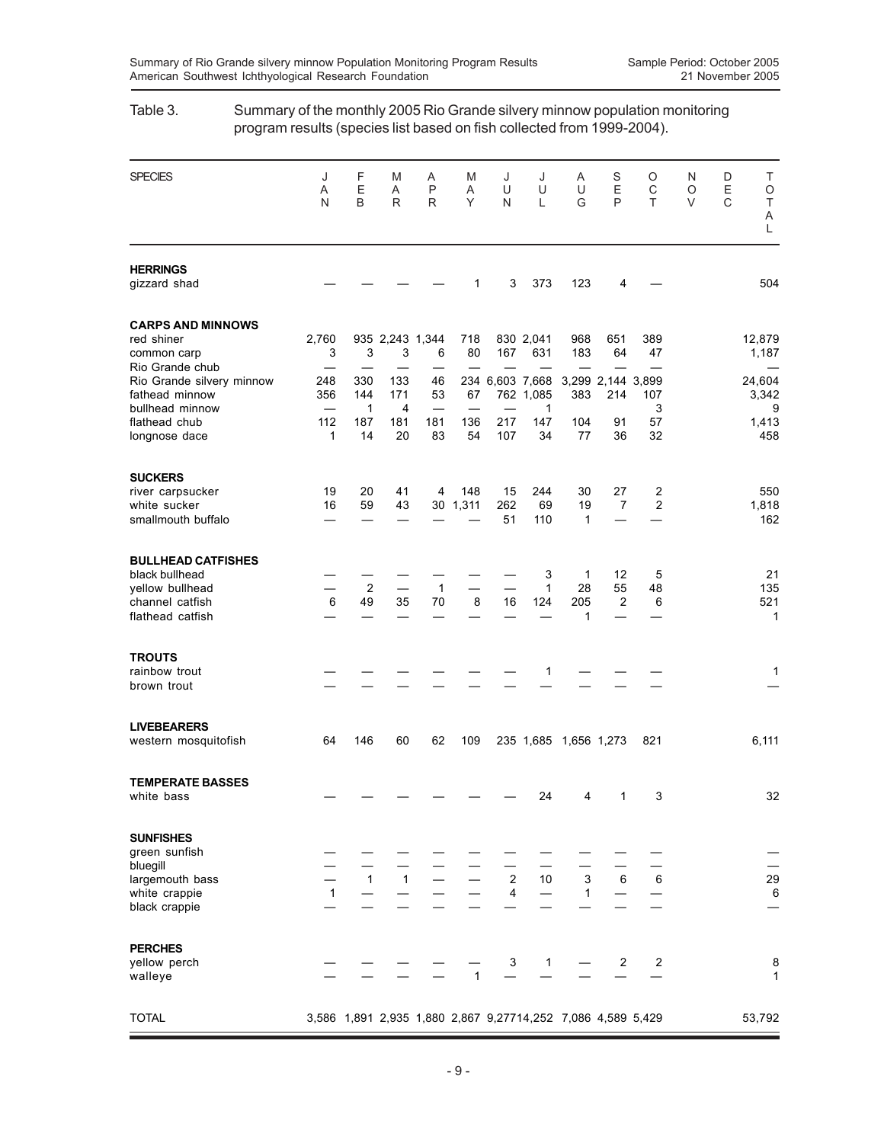# SPECIES J F M A M J J A S O N D T A EA P AUU UEC OE O NBRR YNL GPT VC T A L **HERRINGS** gizzard shad  $\qquad \qquad - \qquad - \qquad - \qquad - \qquad 1 \qquad 3 \quad 373 \qquad 123 \qquad 4 \qquad - \qquad 504$ **CARPS AND MINNOWS** red shiner 12,760 935 2.243 1.344 718 830 2.041 968 651 389 12.879 common carp 3 3 3 6 80 167 631 183 64 47 1,187 Rio Grande chub — Rio Grande silvery minnow 248 330 133 46 234 6,603 7,668 3,299 2,144 3,899 24,604 fathead minnow 356 144 171 53 67 762 1,085 383 214 107 3,342 bullhead minnow — 1 4 — — — 1 3 9 flathead chub 112 187 181 181 136 217 147 104 91 57 1,413<br>
longnose dace 1 1 14 20 83 54 107 34 77 36 32 458 longnose dace 1 14 20 83 54 107 34 77 **SUCKERS** river carpsucker 19 20 41 4 148 15 244 30 27 2 550 white sucker 16 59 43 30 1,311 262 69 19 7 2 1,818 smallmouth buffalo — — — — — 51 110 1 — — 162 **BULLHEAD CATFISHES** black bullhead — — — — — — 3 1 12 5 21<br>
vellow bullhead — 2 — 1 — — 1 28 55 48 135 yellow bullhead  $-2 -1 -1 -1 28 55 48 135$ <br>
channel catfish  $649 35 70 8 16 124 205 2 6 521$ channel catfish  $\text{flathead } \text{catfish}$  - - - - - - 1 - - 1 **TROUTS** rainbow trout — — — — — — 1 — — 1 brown trout — —————— ——— — **LIVEBEARERS** western mosquitofish 64 146 60 62 109 235 1,685 1,656 1,273 821 6,111 **TEMPERATE BASSES** white bass — — — — — — 24 4 1 3 32 **SUNFISHES** green sunfish bluegill — — — — — — — — — — — divegill - - - - - - - - - - -<br>
largemouth bass - 1 1 - - 2 10 3 6 6<br>
white crappie - 1 - - - 4 - 1 - - 6<br>
6 white crappie  $1 - - - - - 4 - 1 - - -$  6 black crappie — —————— ——— — **PERCHES** yellow perch — — — — 3 1 — 2 2 8 walleye — — — 1 — — — — — 1 TOTAL 3,586 1,891 2,935 1,880 2,867 9,27714,252 7,086 4,589 5,429 53,792

## Table 3. Summary of the monthly 2005 Rio Grande silvery minnow population monitoring program results (species list based on fish collected from 1999-2004).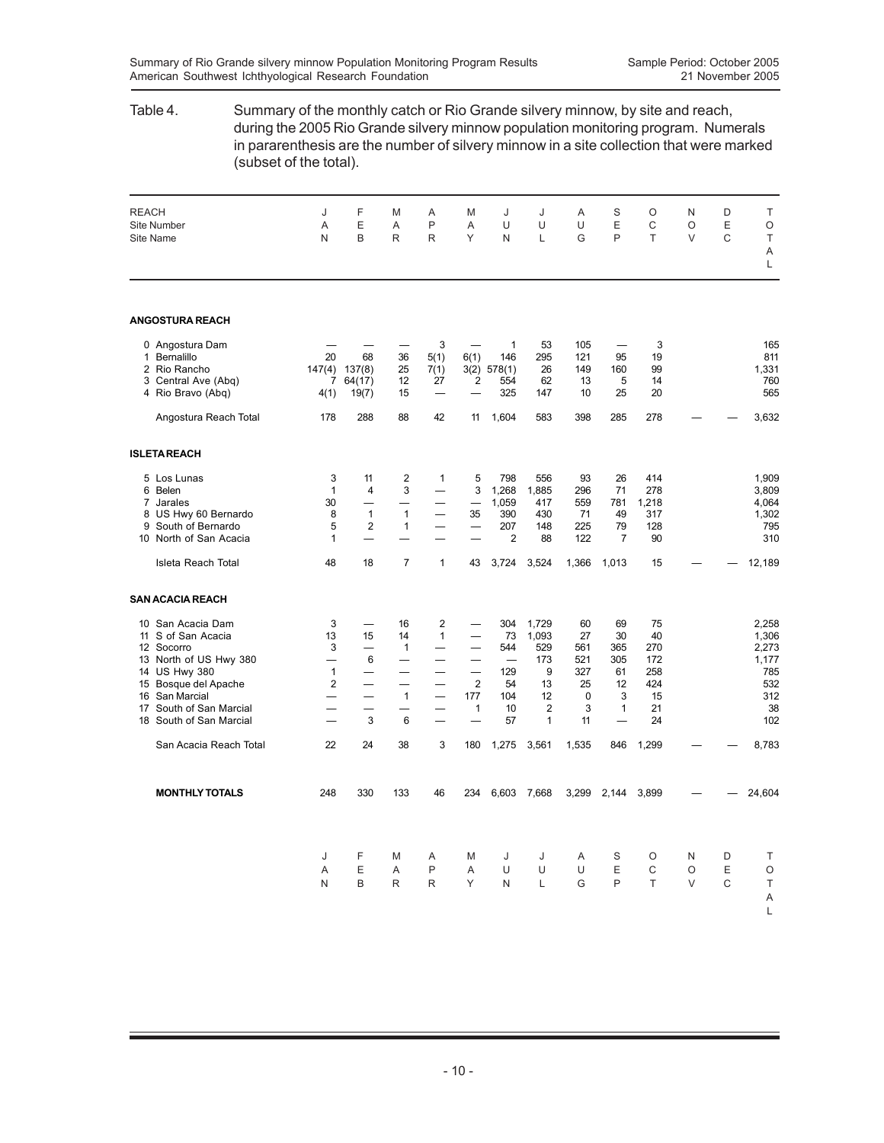## Table 4. Summary of the monthly catch or Rio Grande silvery minnow, by site and reach, during the 2005 Rio Grande silvery minnow population monitoring program. Numerals in pararenthesis are the number of silvery minnow in a site collection that were marked (subset of the total). REACH J F M A M J J A S O N D T Site Number A E A P A U U U E C O E O Site Name N B R R Y N L G P T V C T A L **ANGOSTURA REACH** 0 Angostura Dam — — — 3 — 1 53 105 — 3 165 1 Bernalillo 20 68 36 5(1) 6(1) 146 295 121 95 19 811 2 Rio Rancho 147(4) 137(8) 25 7(1) 3(2) 578(1) 26 149 160 99 1,331 3 Central Ave (Abq)  $\begin{array}{cccc} 3 & 2 & 2 & 2 & 2 & 5 & 6 & 62 \\ 4 & 13 & 5 & 14 & 7 & 12 & 27 & 2 & 5 & 6 & 62 \\ 5 & 6 & 6 & 7 & 7 & 7 & 7 & 7 & 7 \end{array}$  13 14 7 10 25 20 4 Rio Bravo (Abq) 4(1) 19(7) 15 — — 325 147 10 25 20 565 Angostura Reach Total 178 288 88 42 11 1,604 583 398 285 278 - - 3,632 **ISLETA REACH** 5 Los Lunas 3 11 2 1 5 798 556 93 26 414 1,909 6 Belen 1 4 3 — 3 1,268 1,885 296 71 278 3,809 7 Jarales 30 — — — — 1,059 417 559 781 1,218 4,064 1 Variables<br>
8 US Hwy 60 Bernardo 2 1 1 - 35 390 430 71 49 317<br>
8 1 1 - 35 390 430 71 49 317 1,302<br>
9 South of Bernardo 2 1 - 207 148 225 79 128 795 9 South of Bernardo 5 2 1 — — 207 148 225 79 128 795 10 North of San Acacia 1 — — — 2 88 122 7 90 Isleta Reach Total 48 18 7 1 43 3,724 3,524 1,366 1,013 15 — — 12,189 **SAN ACACIA REACH** 10 San Acacia Dam 3 — 16 2 — 304 1,729 60 69 75 2,258 11 S of San Acacia 13 15 14 1 - 73 1,093 27 30 40 1,306<br>
12 Socorro 3 - 1 - 544 529 561 365 270 2,273<br>
13 16 - 544 529 561 365 270 2,273<br>
14 IJS Hwy 380 - 6 - - - 173 521 305 172<br>
14 IJS Hwy 380 - - - - 173 521 30 1758 12 Socorro 3 — 1 — — 544 529 561 365 270 2,273 12 Socorro  $13 \text{ North of US Hwy } 380$ <br>
13 North of US Hwy  $380$ <br>
14 US Hwy  $380$ <br>
14 US Hwy  $380$ <br>
14 US Hwy  $380$ <br>
1 - - - - 173 521 305 172<br>
15 Bosque del Apache<br>
16 San Marcial<br>
2 - - - 2 54 13 25 12 424<br>
16 San Marcial<br>
- - 1 14 US Hwy 380 1 — — — 129 9 327 61 258 785<br>15 Bosque del Apache 2 — — 2 54 13 25 12 424 532<br>16 San Marcial — — 1 — 177 104 12 0 3 15 312<br>17 South of San Marcial — — — 1 10 2 3 1 21 38 15 Bosque del Apache  $2$  — —  $2$  54 13 25 12 424 532<br>16 San Marcial — — 1 — 177 104 12 0 3 15 312<br>17 South of San Marcial — — 3 6 — 1 10 2 3 1 21 38<br>18 South of San Marcial — 3 6 — 1 57 1 11 — 24 102 16 San Marcial — — 1 — 177 104 12 0 3 15 312 17 South of San Marcial — — — — — 1 10 2 3 1 21 38<br>18 South of San Marcial — 3 6 — – 57 1 11 — 24 102 18 South of San Marcial San Acacia Reach Total 22 24 38 3 180 1,275 3,561 1,535 846 1,299 — — 8,783 **MONTHLY TOTALS** 248 330 133 46 234 6,603 7,668 3,299 2,144 3,899 — — 24,604 J FMA MJ J ASO ND T AEAP AUU UEC OE O NBRR YNL GPT VC T A  $\mathbf{L}$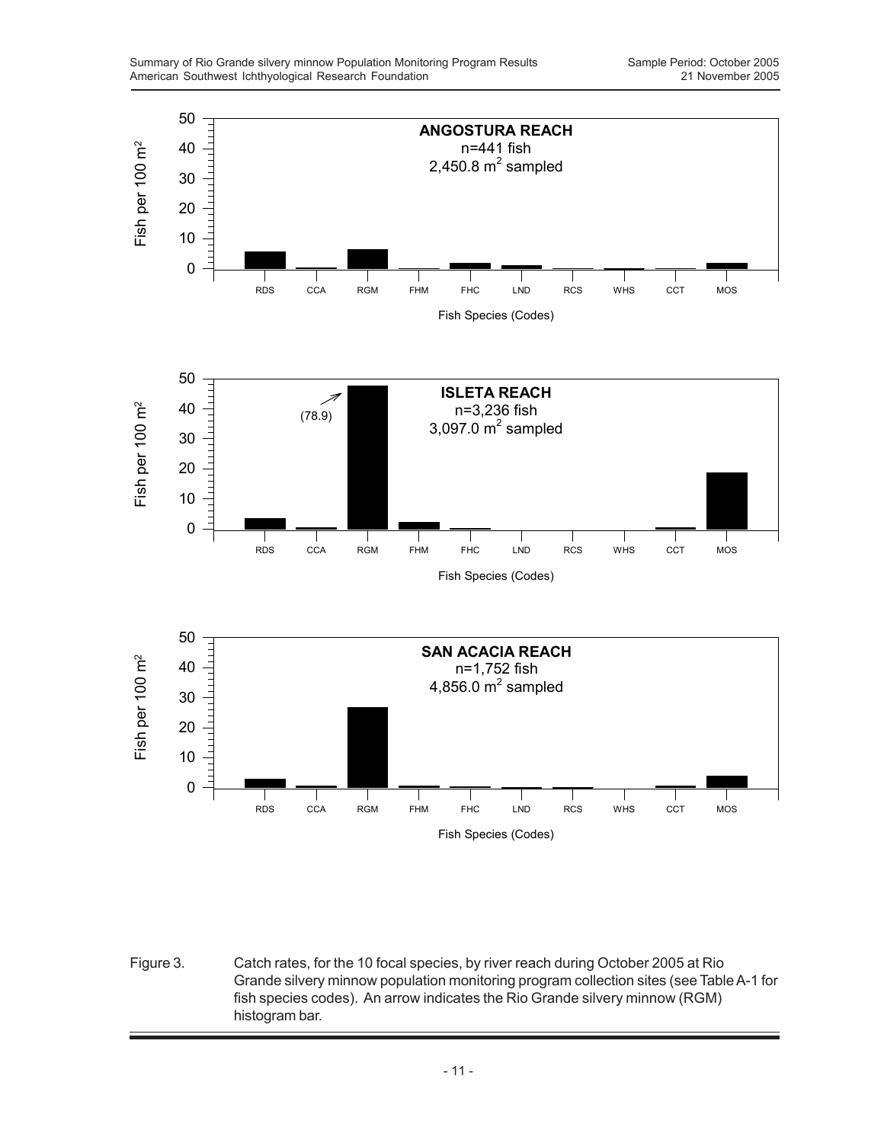

Figure 3. Catch rates, for the 10 focal species, by river reach during October 2005 at Rio Grande silvery minnow population monitoring program collection sites (see Table A-1 for fish species codes). An arrow indicates the Rio Grande silvery minnow (RGM) histogram bar.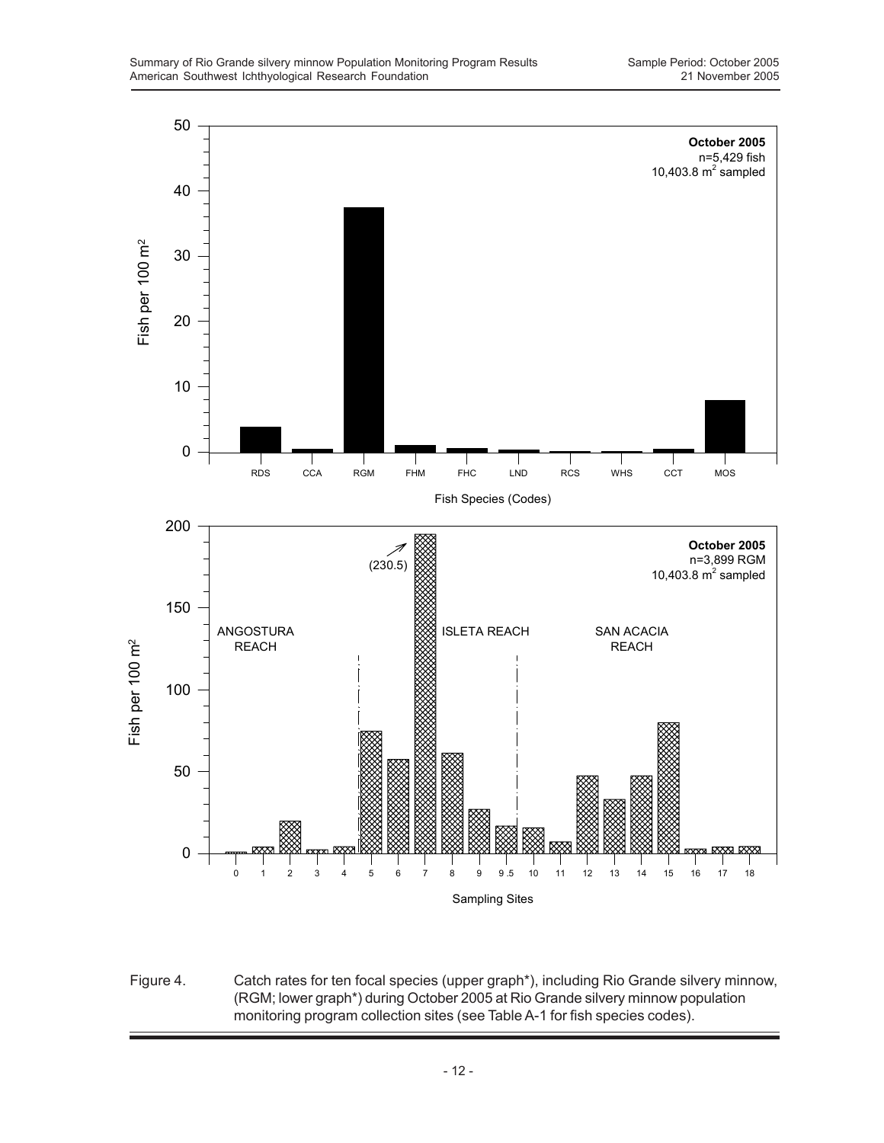

Figure 4. Catch rates for ten focal species (upper graph\*), including Rio Grande silvery minnow, (RGM; lower graph\*) during October 2005 at Rio Grande silvery minnow population monitoring program collection sites (see Table A-1 for fish species codes).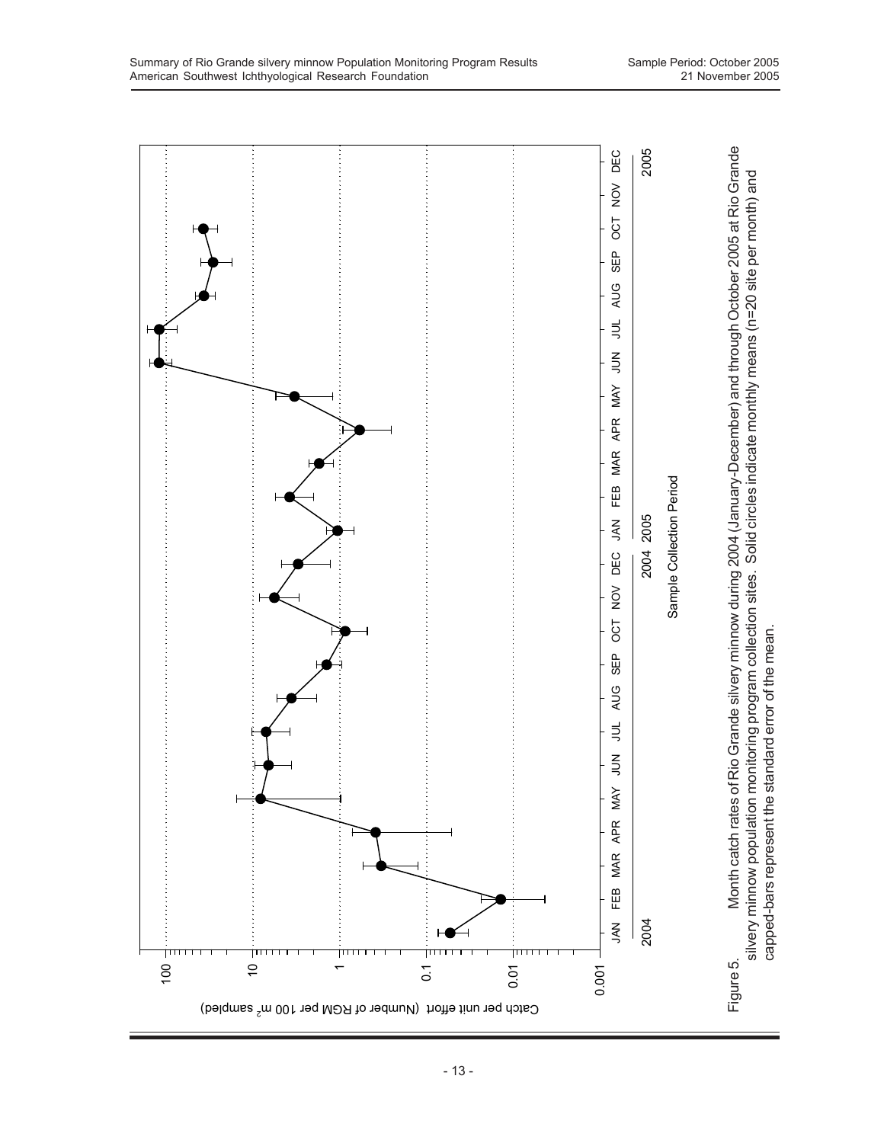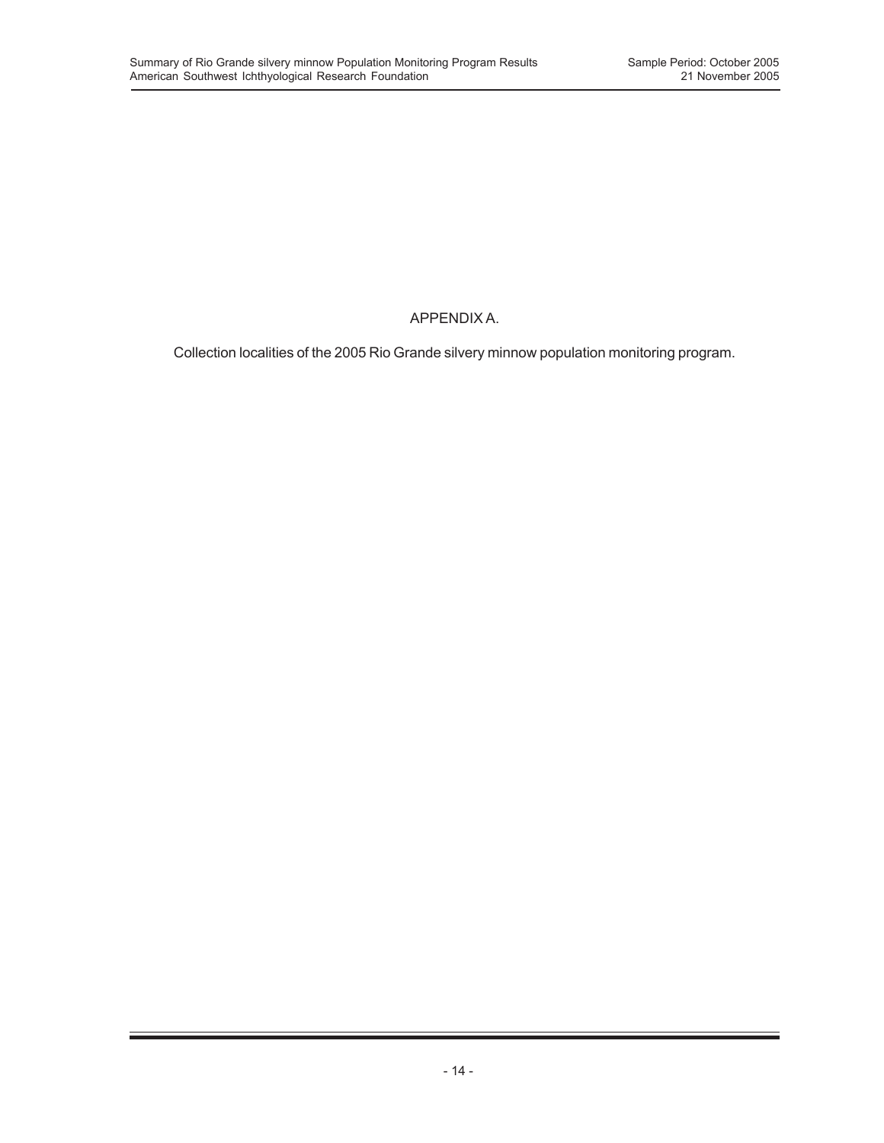## APPENDIX A.

Collection localities of the 2005 Rio Grande silvery minnow population monitoring program.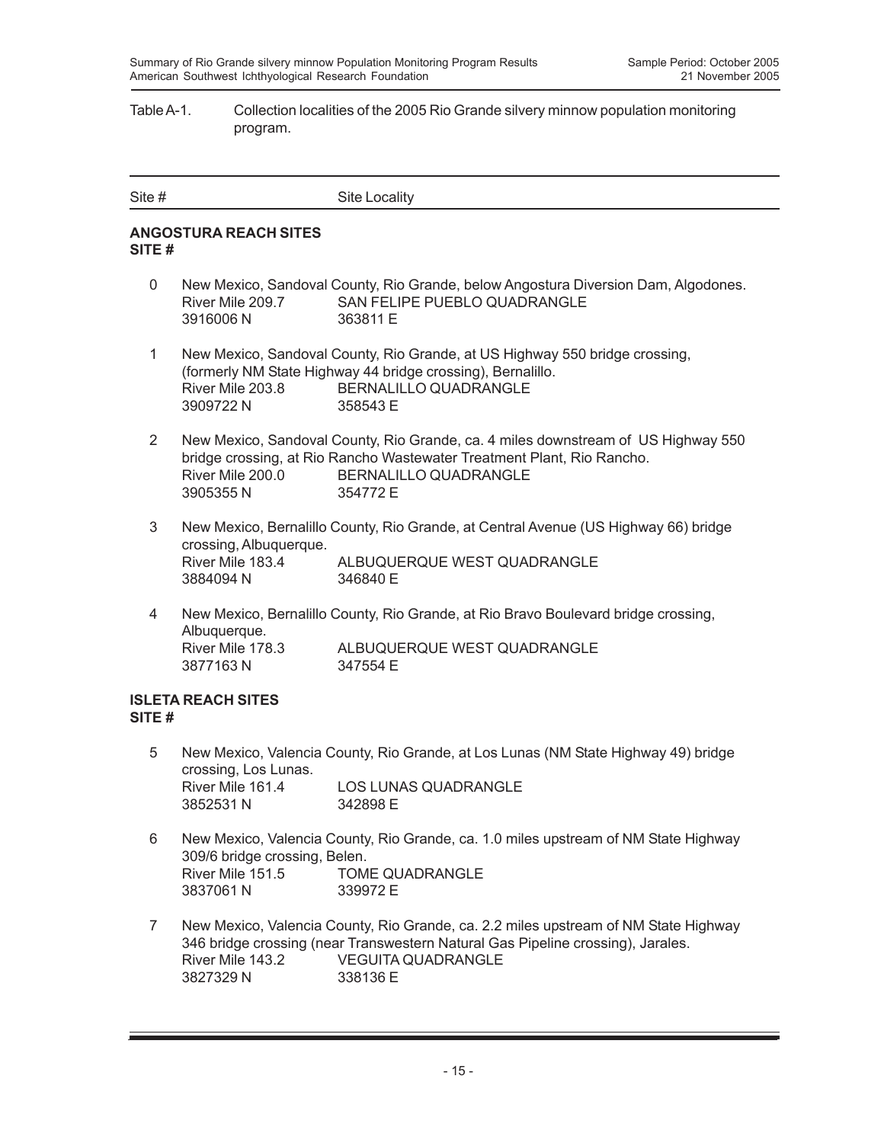### Table A-1. Collection localities of the 2005 Rio Grande silvery minnow population monitoring program.

| Site # | Site Locality |
|--------|---------------|
|        |               |

### **ANGOSTURA REACH SITES SITE #**

- 0 New Mexico, Sandoval County, Rio Grande, below Angostura Diversion Dam, Algodones. River Mile 209.7 SAN FELIPE PUEBLO QUADRANGLE 3916006 N 363811 E
- 1 New Mexico, Sandoval County, Rio Grande, at US Highway 550 bridge crossing, (formerly NM State Highway 44 bridge crossing), Bernalillo. River Mile 203.8 BERNALILLO QUADRANGLE 3909722 N 358543 E
- 2 New Mexico, Sandoval County, Rio Grande, ca. 4 miles downstream of US Highway 550 bridge crossing, at Rio Rancho Wastewater Treatment Plant, Rio Rancho. River Mile 200.0 BERNALILLO QUADRANGLE 3905355 N 354772 E
- 3 New Mexico, Bernalillo County, Rio Grande, at Central Avenue (US Highway 66) bridge crossing, Albuquerque. River Mile 183.4 ALBUQUERQUE WEST QUADRANGLE 3884094 N 346840 E
- 4 New Mexico, Bernalillo County, Rio Grande, at Rio Bravo Boulevard bridge crossing, Albuquerque. River Mile 178.3 ALBUQUERQUE WEST QUADRANGLE 3877163 N 347554 E

### **ISLETA REACH SITES SITE #**

- 5 New Mexico, Valencia County, Rio Grande, at Los Lunas (NM State Highway 49) bridge crossing, Los Lunas. River Mile 161.4 LOS LUNAS QUADRANGLE 3852531 N 342898 E
- 6 New Mexico, Valencia County, Rio Grande, ca. 1.0 miles upstream of NM State Highway 309/6 bridge crossing, Belen. River Mile 151.5 TOME QUADRANGLE 3837061 N 339972 E
- 7 New Mexico, Valencia County, Rio Grande, ca. 2.2 miles upstream of NM State Highway 346 bridge crossing (near Transwestern Natural Gas Pipeline crossing), Jarales. River Mile 143.2 VEGUITA QUADRANGLE 3827329 N 338136 E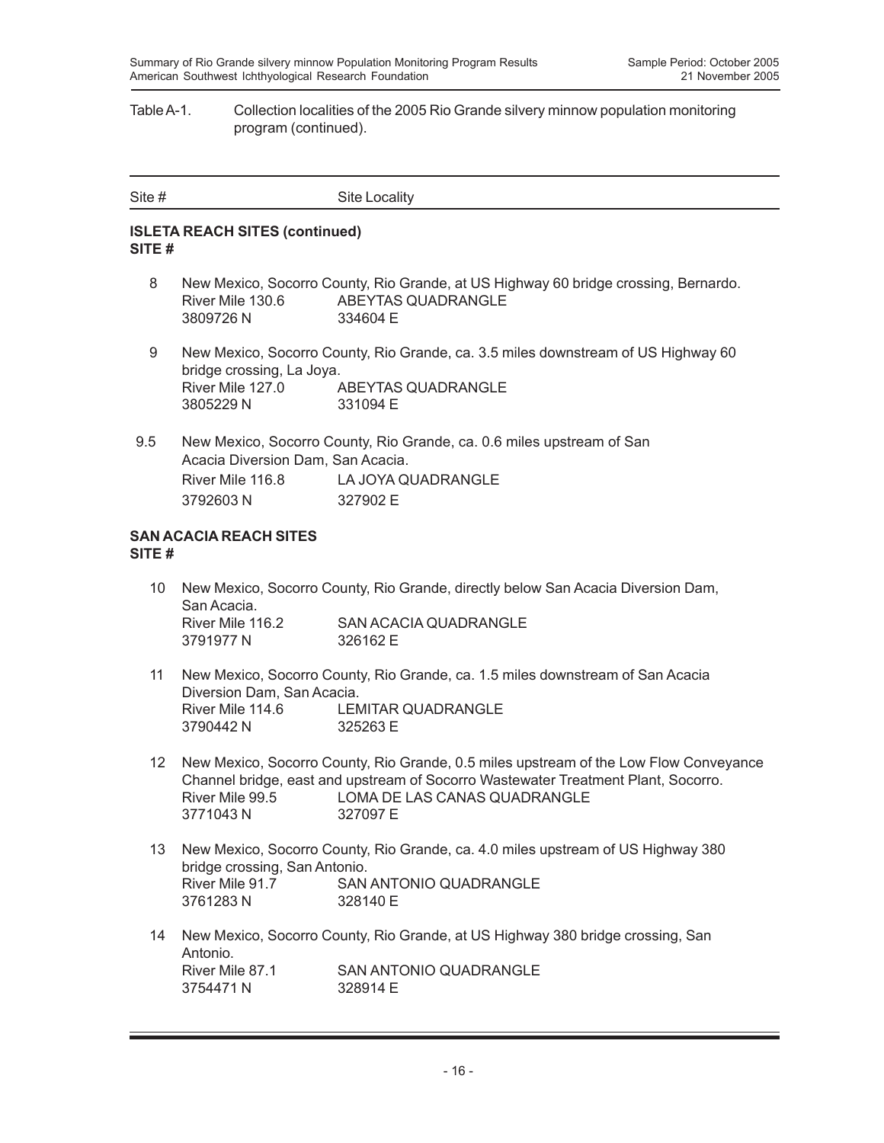#### Table A-1. Collection localities of the 2005 Rio Grande silvery minnow population monitoring program (continued).

| Site # | Site Locality |
|--------|---------------|
|        |               |

### **ISLETA REACH SITES (continued) SITE #**

- 8 New Mexico, Socorro County, Rio Grande, at US Highway 60 bridge crossing, Bernardo. River Mile 130.6 ABEYTAS QUADRANGLE 3809726 N 334604 E
- 9 New Mexico, Socorro County, Rio Grande, ca. 3.5 miles downstream of US Highway 60 bridge crossing, La Joya. River Mile 127.0 ABEYTAS QUADRANGLE 3805229 N 331094 E
- 9.5 New Mexico, Socorro County, Rio Grande, ca. 0.6 miles upstream of San Acacia Diversion Dam, San Acacia. River Mile 116.8 LA JOYA QUADRANGLE 3792603 N 327902 E

#### **SAN ACACIA REACH SITES SITE #**

- 10 New Mexico, Socorro County, Rio Grande, directly below San Acacia Diversion Dam, San Acacia. River Mile 116.2 SAN ACACIA QUADRANGLE 3791977 N 326162 E
- 11 New Mexico, Socorro County, Rio Grande, ca. 1.5 miles downstream of San Acacia Diversion Dam, San Acacia. River Mile 114.6 LEMITAR QUADRANGLE 3790442 N 325263 E
- 12 New Mexico, Socorro County, Rio Grande, 0.5 miles upstream of the Low Flow Conveyance Channel bridge, east and upstream of Socorro Wastewater Treatment Plant, Socorro. River Mile 99.5 LOMA DE LAS CANAS QUADRANGLE 3771043 N 327097 E
- 13 New Mexico, Socorro County, Rio Grande, ca. 4.0 miles upstream of US Highway 380 bridge crossing, San Antonio. River Mile 91.7 SAN ANTONIO QUADRANGLE 3761283 N 328140 E
- 14 New Mexico, Socorro County, Rio Grande, at US Highway 380 bridge crossing, San Antonio.<br>River Mile 87.1 SAN ANTONIO QUADRANGLE 3754471 N 328914 F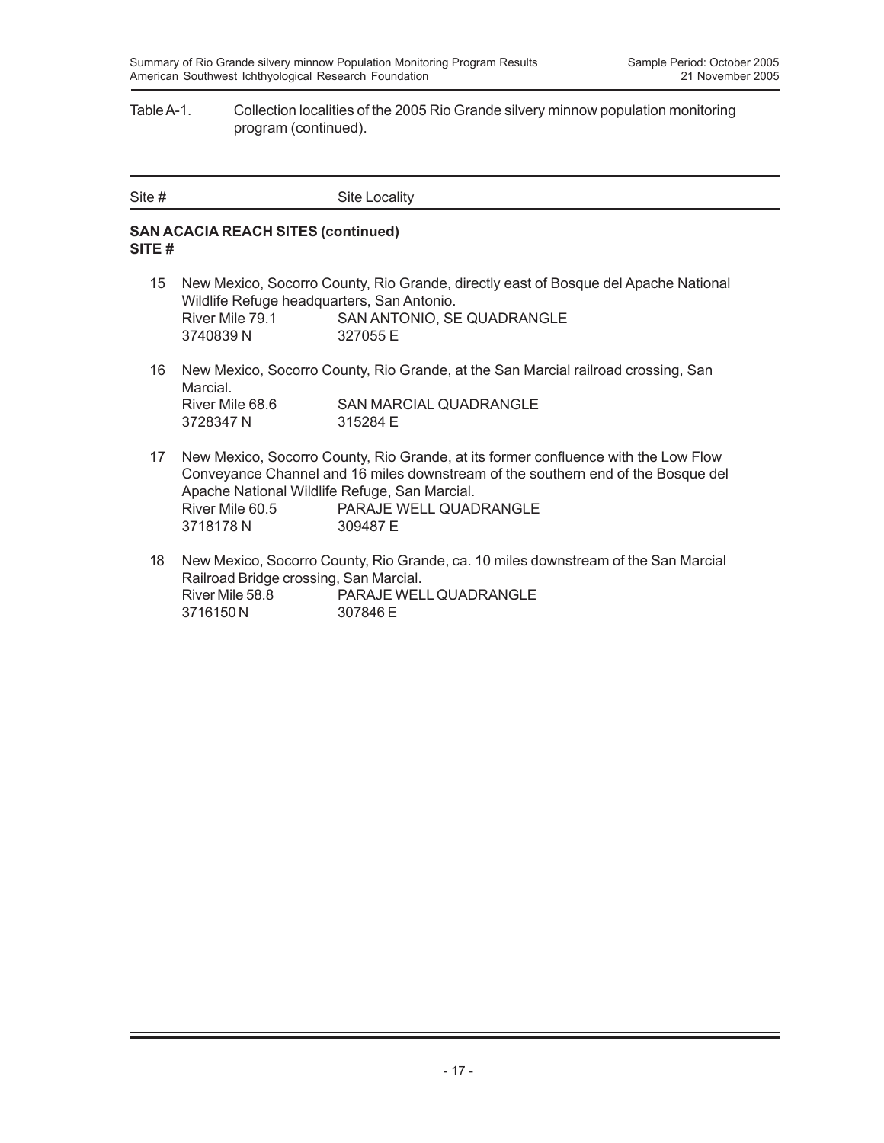#### Table A-1. Collection localities of the 2005 Rio Grande silvery minnow population monitoring program (continued).

| Site # | Site Locality |
|--------|---------------|

### **SAN ACACIA REACH SITES (continued) SITE #**

- 15 New Mexico, Socorro County, Rio Grande, directly east of Bosque del Apache National Wildlife Refuge headquarters, San Antonio. River Mile 79.1 SAN ANTONIO, SE QUADRANGLE 3740839 N 327055 E
- 16 New Mexico, Socorro County, Rio Grande, at the San Marcial railroad crossing, San Marcial. River Mile 68.6 SAN MARCIAL QUADRANGLE 3728347 N 315284 E
- 17 New Mexico, Socorro County, Rio Grande, at its former confluence with the Low Flow Conveyance Channel and 16 miles downstream of the southern end of the Bosque del Apache National Wildlife Refuge, San Marcial. River Mile 60.5 PARAJE WELL QUADRANGLE 3718178 N 309487 E
- 18 New Mexico, Socorro County, Rio Grande, ca. 10 miles downstream of the San Marcial Railroad Bridge crossing, San Marcial. River Mile 58.8 PARAJE WELL QUADRANGLE 3716150 N 307846 E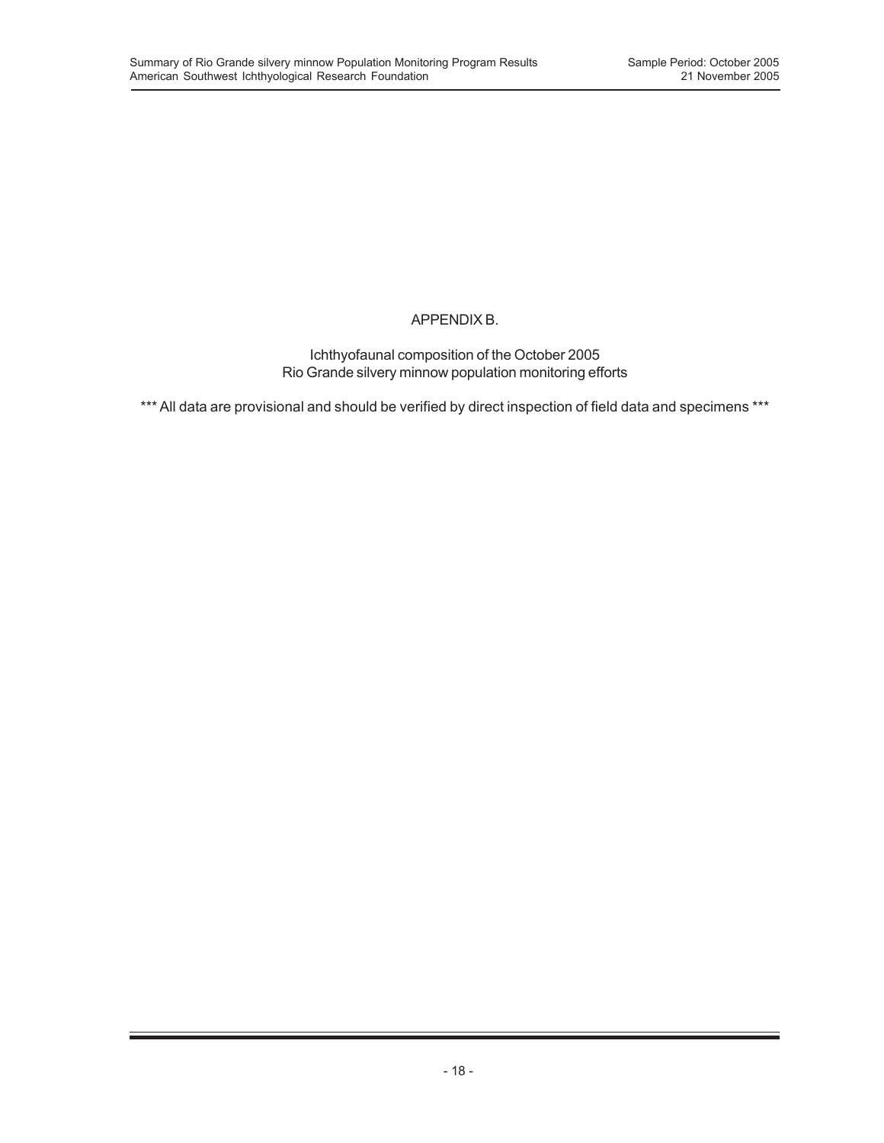## APPENDIX B.

Ichthyofaunal composition of the October 2005 Rio Grande silvery minnow population monitoring efforts

\*\*\* All data are provisional and should be verified by direct inspection of field data and specimens \*\*\*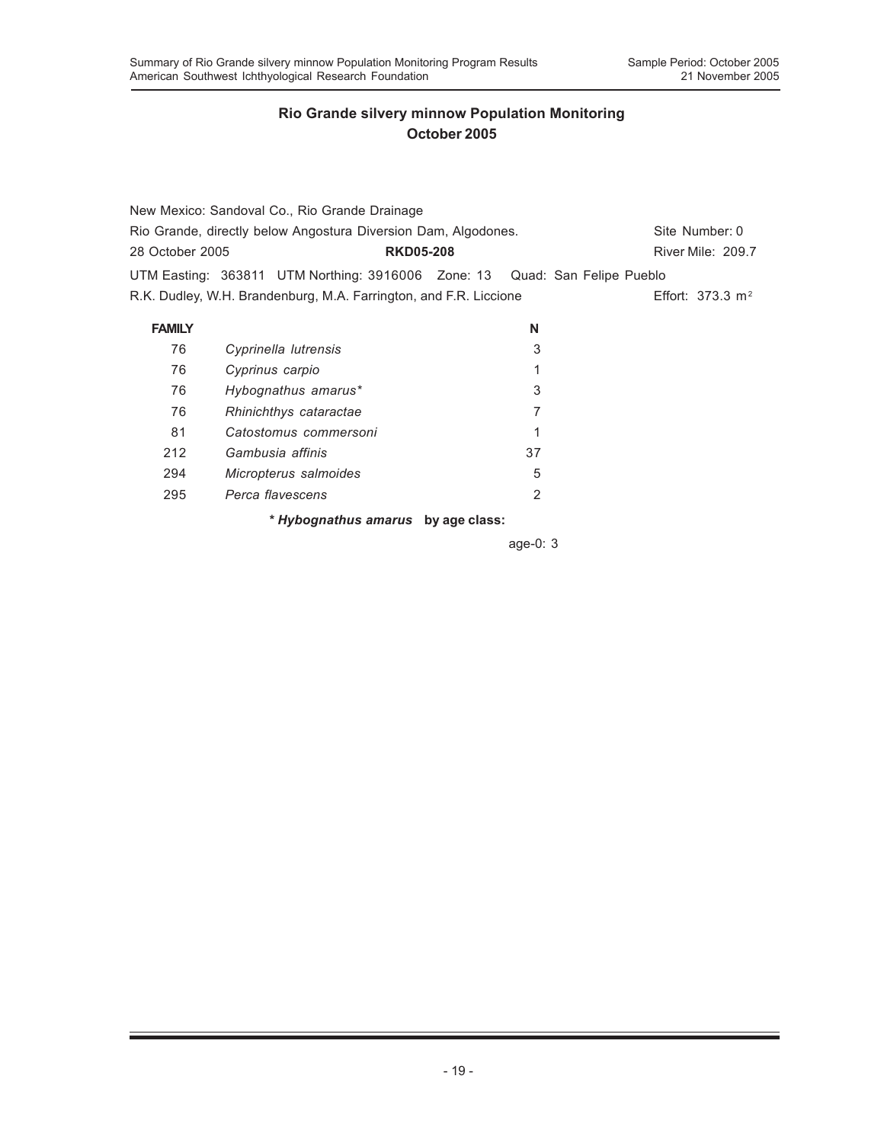|                                                                | New Mexico: Sandoval Co., Rio Grande Drainage                              |  |    |                    |
|----------------------------------------------------------------|----------------------------------------------------------------------------|--|----|--------------------|
| Rio Grande, directly below Angostura Diversion Dam, Algodones. |                                                                            |  |    | Site Number: 0     |
| 28 October 2005                                                | <b>RKD05-208</b>                                                           |  |    | River Mile: 209.7  |
|                                                                | UTM Easting: 363811 UTM Northing: 3916006 Zone: 13 Quad: San Felipe Pueblo |  |    |                    |
|                                                                | R.K. Dudley, W.H. Brandenburg, M.A. Farrington, and F.R. Liccione          |  |    | Effort: 373.3 $m2$ |
| <b>FAMILY</b>                                                  |                                                                            |  | N  |                    |
| 76                                                             | Cyprinella lutrensis                                                       |  | 3  |                    |
| 76                                                             | Cyprinus carpio                                                            |  | 1  |                    |
| 76                                                             | Hybognathus amarus*                                                        |  | 3  |                    |
| 76                                                             | Rhinichthys cataractae                                                     |  | 7  |                    |
| 81                                                             | Catostomus commersoni                                                      |  | 1  |                    |
| 212                                                            | Gambusia affinis                                                           |  | 37 |                    |
| 294                                                            | Micropterus salmoides                                                      |  | 5  |                    |
| 295                                                            | Perca flavescens                                                           |  | 2  |                    |
|                                                                | * Hybognathus amarus by age class:                                         |  |    |                    |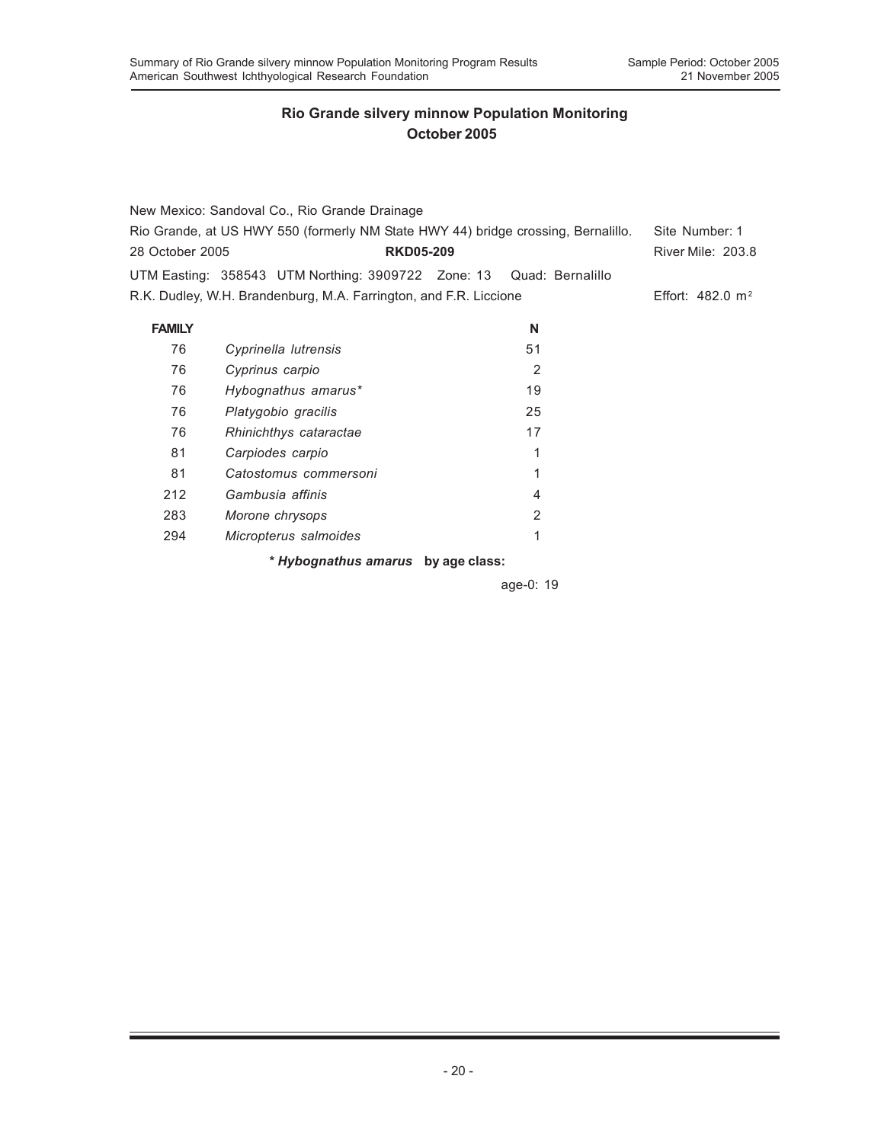|                                                                                   | New Mexico: Sandoval Co., Rio Grande Drainage                       |                |                             |
|-----------------------------------------------------------------------------------|---------------------------------------------------------------------|----------------|-----------------------------|
| Rio Grande, at US HWY 550 (formerly NM State HWY 44) bridge crossing, Bernalillo. |                                                                     |                | Site Number: 1              |
| 28 October 2005                                                                   | <b>RKD05-209</b>                                                    |                | River Mile: 203.8           |
|                                                                                   | UTM Easting: 358543 UTM Northing: 3909722 Zone: 13 Quad: Bernalillo |                |                             |
|                                                                                   | R.K. Dudley, W.H. Brandenburg, M.A. Farrington, and F.R. Liccione   |                | Effort: $482.0 \text{ m}^2$ |
| <b>FAMILY</b>                                                                     |                                                                     | N              |                             |
| 76                                                                                | Cyprinella lutrensis                                                | 51             |                             |
| 76                                                                                | Cyprinus carpio                                                     | 2              |                             |
| 76                                                                                | Hybognathus amarus*                                                 | 19             |                             |
| 76                                                                                | Platygobio gracilis                                                 | 25             |                             |
| 76                                                                                | Rhinichthys cataractae                                              | 17             |                             |
| 81                                                                                | Carpiodes carpio                                                    | 1              |                             |
| 81                                                                                | Catostomus commersoni                                               | 1              |                             |
| 212                                                                               | Gambusia affinis                                                    | $\overline{4}$ |                             |
| 283                                                                               | Morone chrysops                                                     | 2              |                             |
| 294                                                                               | Micropterus salmoides                                               | 1              |                             |
|                                                                                   | * Hybognathus amarus by age class:                                  |                |                             |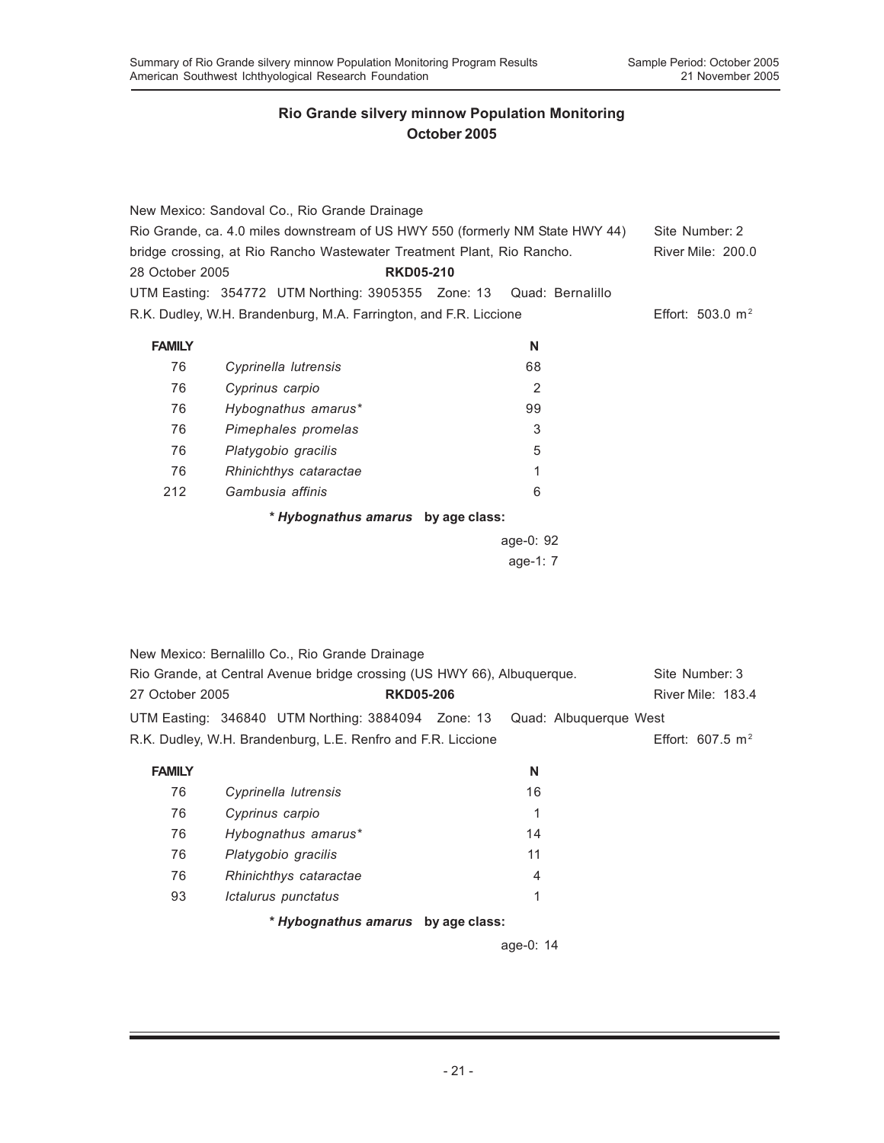|                 | New Mexico: Sandoval Co., Rio Grande Drainage                                                   |           |                    |  |  |
|-----------------|-------------------------------------------------------------------------------------------------|-----------|--------------------|--|--|
|                 | Rio Grande, ca. 4.0 miles downstream of US HWY 550 (formerly NM State HWY 44)<br>Site Number: 2 |           |                    |  |  |
|                 | bridge crossing, at Rio Rancho Wastewater Treatment Plant, Rio Rancho.                          |           | River Mile: 200.0  |  |  |
| 28 October 2005 | <b>RKD05-210</b>                                                                                |           |                    |  |  |
|                 | UTM Easting: 354772 UTM Northing: 3905355 Zone: 13 Quad: Bernalillo                             |           |                    |  |  |
|                 | R.K. Dudley, W.H. Brandenburg, M.A. Farrington, and F.R. Liccione                               |           | Effort: 503.0 $m2$ |  |  |
|                 |                                                                                                 |           |                    |  |  |
| <b>FAMILY</b>   |                                                                                                 | N         |                    |  |  |
| 76              | Cyprinella lutrensis                                                                            | 68        |                    |  |  |
| 76              | Cyprinus carpio                                                                                 | 2         |                    |  |  |
| 76              | Hybognathus amarus*                                                                             | 99        |                    |  |  |
| 76              | Pimephales promelas                                                                             | 3         |                    |  |  |
| 76              | Platygobio gracilis                                                                             | 5         |                    |  |  |
| 76              | Rhinichthys cataractae                                                                          | 1         |                    |  |  |
| 212             | Gambusia affinis                                                                                | 6         |                    |  |  |
|                 | * Hybognathus amarus by age class:                                                              |           |                    |  |  |
|                 |                                                                                                 | age-0: 92 |                    |  |  |

age-1: 7

|                 | New Mexico: Bernalillo Co., Rio Grande Drainage                         |                  |                                                                           |                             |  |
|-----------------|-------------------------------------------------------------------------|------------------|---------------------------------------------------------------------------|-----------------------------|--|
|                 | Rio Grande, at Central Avenue bridge crossing (US HWY 66), Albuguergue. |                  |                                                                           | Site Number: 3              |  |
| 27 October 2005 |                                                                         | <b>RKD05-206</b> |                                                                           | River Mile: 183.4           |  |
|                 |                                                                         |                  | UTM Easting: 346840 UTM Northing: 3884094 Zone: 13 Quad: Albuquerque West |                             |  |
|                 | R.K. Dudley, W.H. Brandenburg, L.E. Renfro and F.R. Liccione            |                  |                                                                           | Effort: $607.5 \text{ m}^2$ |  |
| <b>FAMILY</b>   |                                                                         |                  | N                                                                         |                             |  |

| ⊟ TIVIT |                                    | W  |  |
|---------|------------------------------------|----|--|
| 76      | Cyprinella lutrensis               | 16 |  |
| 76      | Cyprinus carpio                    | 1  |  |
| 76      | Hybognathus amarus*                | 14 |  |
| 76      | Platygobio gracilis                | 11 |  |
| 76      | Rhinichthys cataractae             | 4  |  |
| 93      | Ictalurus punctatus                | 1  |  |
|         | * Hybognathus amarus by age class: |    |  |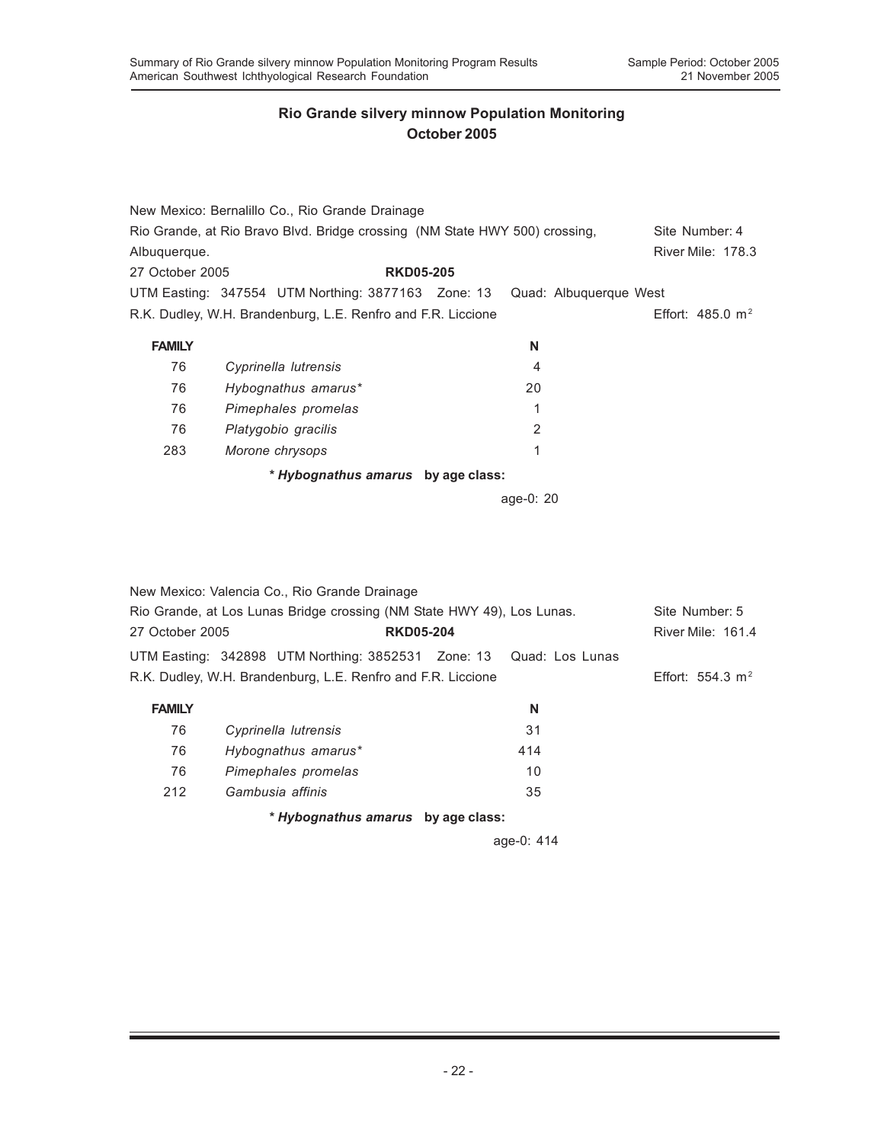|                 | New Mexico: Bernalillo Co., Rio Grande Drainage                             |           |                             |
|-----------------|-----------------------------------------------------------------------------|-----------|-----------------------------|
|                 | Rio Grande, at Rio Bravo Blvd. Bridge crossing (NM State HWY 500) crossing, |           | Site Number: 4              |
| Albuquerque.    |                                                                             |           | <b>River Mile: 178.3</b>    |
| 27 October 2005 | <b>RKD05-205</b>                                                            |           |                             |
|                 | UTM Easting: 347554 UTM Northing: 3877163 Zone: 13 Quad: Albuquerque West   |           |                             |
|                 | R.K. Dudley, W.H. Brandenburg, L.E. Renfro and F.R. Liccione                |           | Effort: $485.0 \text{ m}^2$ |
| <b>FAMILY</b>   |                                                                             | N         |                             |
| 76              | Cyprinella lutrensis                                                        | 4         |                             |
| 76              | Hybognathus amarus*                                                         | 20        |                             |
| 76              | Pimephales promelas                                                         | 1         |                             |
| 76              | Platygobio gracilis                                                         | 2         |                             |
| 283             | Morone chrysops                                                             | 1         |                             |
|                 | * Hybognathus amarus by age class:                                          |           |                             |
|                 |                                                                             | age-0: 20 |                             |

|                 | New Mexico: Valencia Co., Rio Grande Drainage                          |                  |     |                          |  |
|-----------------|------------------------------------------------------------------------|------------------|-----|--------------------------|--|
|                 | Rio Grande, at Los Lunas Bridge crossing (NM State HWY 49), Los Lunas. |                  |     |                          |  |
| 27 October 2005 |                                                                        | <b>RKD05-204</b> |     | <b>River Mile: 161.4</b> |  |
|                 | UTM Easting: 342898 UTM Northing: 3852531 Zone: 13 Quad: Los Lunas     |                  |     |                          |  |
|                 | R.K. Dudley, W.H. Brandenburg, L.E. Renfro and F.R. Liccione           |                  |     | Effort: 554.3 $m2$       |  |
| <b>FAMILY</b>   |                                                                        |                  | N   |                          |  |
| 76              | Cyprinella lutrensis                                                   |                  | 31  |                          |  |
| 76              | Hybognathus amarus*                                                    |                  | 414 |                          |  |
| 76              | Pimephales promelas                                                    |                  | 10  |                          |  |
| 212             | Gambusia affinis                                                       |                  | 35  |                          |  |

*\* Hybognathus amarus* **by age class:**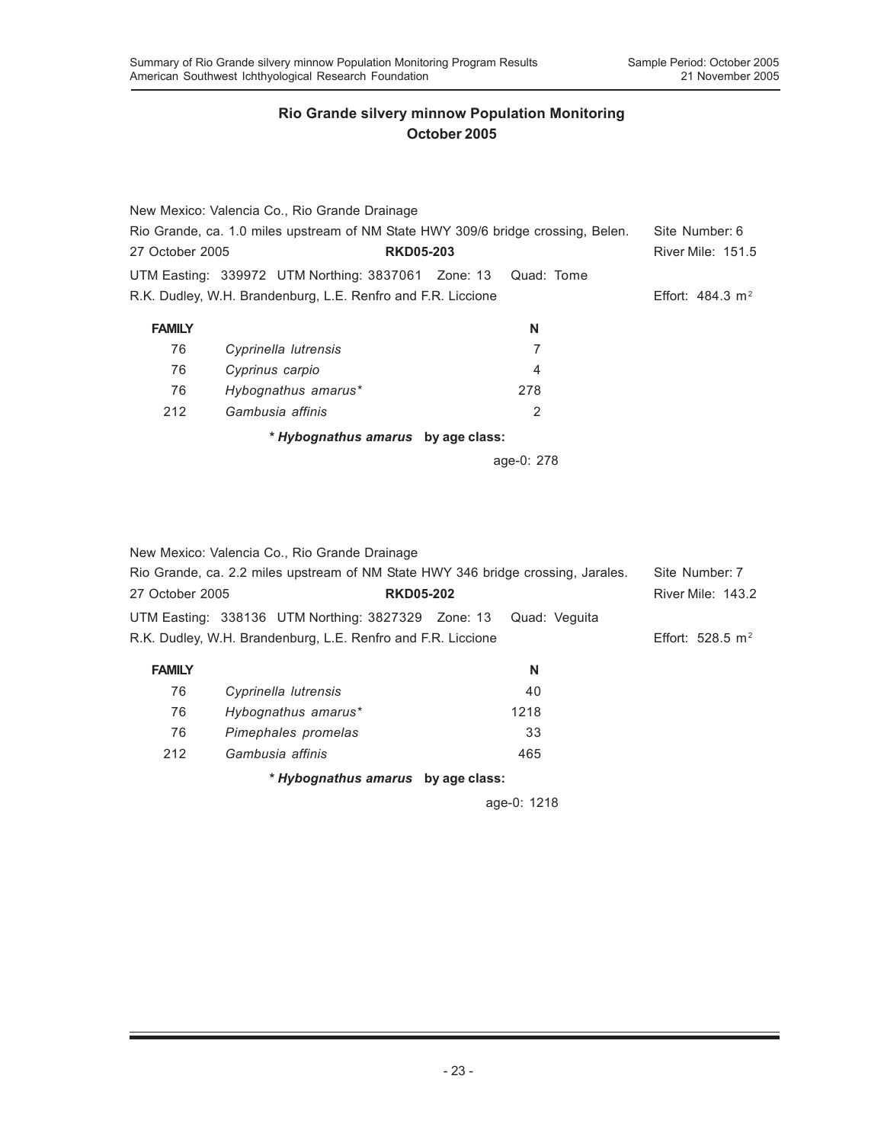|                                                                                  | New Mexico: Valencia Co., Rio Grande Drainage                 |            |                             |
|----------------------------------------------------------------------------------|---------------------------------------------------------------|------------|-----------------------------|
| Rio Grande, ca. 1.0 miles upstream of NM State HWY 309/6 bridge crossing, Belen. | Site Number: 6                                                |            |                             |
| 27 October 2005                                                                  | <b>RKD05-203</b>                                              |            | River Mile: 151.5           |
|                                                                                  | UTM Easting: 339972 UTM Northing: 3837061 Zone: 13 Quad: Tome |            |                             |
|                                                                                  | R.K. Dudley, W.H. Brandenburg, L.E. Renfro and F.R. Liccione  |            | Effort: $484.3 \text{ m}^2$ |
| <b>FAMILY</b>                                                                    |                                                               | N          |                             |
| 76                                                                               | Cyprinella lutrensis                                          | 7          |                             |
| 76                                                                               | Cyprinus carpio                                               | 4          |                             |
| 76                                                                               | Hybognathus amarus*                                           | 278        |                             |
| 212                                                                              | Gambusia affinis                                              | 2          |                             |
|                                                                                  | * Hybognathus amarus by age class:                            |            |                             |
|                                                                                  |                                                               | age-0: 278 |                             |

New Mexico: Valencia Co., Rio Grande Drainage Rio Grande, ca. 2.2 miles upstream of NM State HWY 346 bridge crossing, Jarales. Site Number: 7 27 October 2005 **RKD05-202** River Mile: 143.2 UTM Easting: 338136 UTM Northing: 3827329 Zone: 13 Quad: Veguita R.K. Dudley, W.H. Brandenburg, L.E. Renfro and F.R. Liccione Effort: 528.5 m<sup>2</sup> **FAMILY N** 76 *Cyprinella lutrensis* 40 76 *Hybognathus amarus\** 1218 76 *Pimephales promelas* 33 212 *Gambusia affinis* 465 *\* Hybognathus amarus* **by age class:**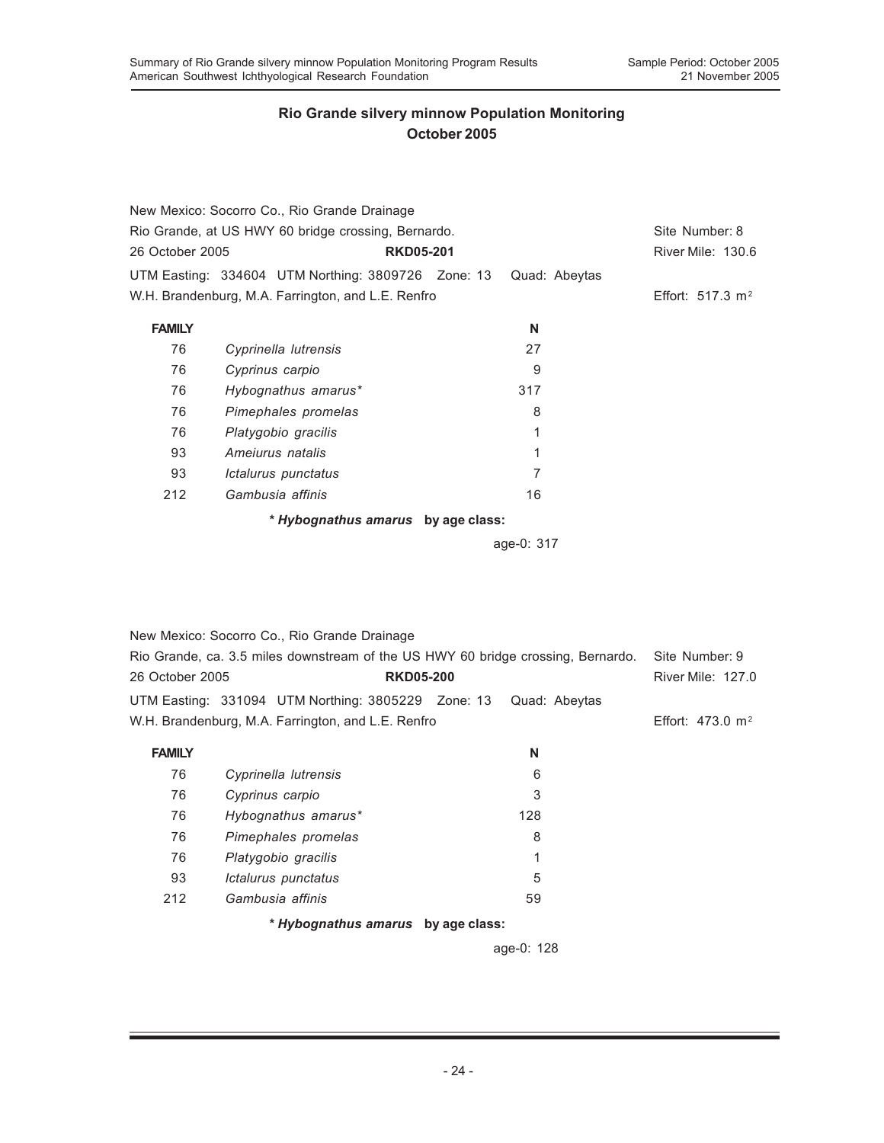|                                                     | New Mexico: Socorro Co., Rio Grande Drainage       |  |               |                    |  |
|-----------------------------------------------------|----------------------------------------------------|--|---------------|--------------------|--|
| Rio Grande, at US HWY 60 bridge crossing, Bernardo. | Site Number: 8                                     |  |               |                    |  |
| 26 October 2005                                     | <b>RKD05-201</b>                                   |  |               | River Mile: 130.6  |  |
|                                                     | UTM Easting: 334604 UTM Northing: 3809726 Zone: 13 |  | Quad: Abeytas |                    |  |
|                                                     | W.H. Brandenburg, M.A. Farrington, and L.E. Renfro |  |               | Effort: 517.3 $m2$ |  |
| <b>FAMILY</b>                                       |                                                    |  | N             |                    |  |
| 76                                                  | Cyprinella lutrensis                               |  | 27            |                    |  |
| 76                                                  | Cyprinus carpio                                    |  | 9             |                    |  |
| 76                                                  | Hybognathus amarus*                                |  | 317           |                    |  |
| 76                                                  | Pimephales promelas                                |  | 8             |                    |  |
| 76                                                  | Platygobio gracilis                                |  | 1             |                    |  |
| 93                                                  | Ameiurus natalis                                   |  | 1             |                    |  |
| 93                                                  | Ictalurus punctatus                                |  | 7             |                    |  |
| 212                                                 | Gambusia affinis                                   |  | 16            |                    |  |
|                                                     | * Hybognathus amarus by age class:                 |  |               |                    |  |

age-0: 317

|                                                                                  | New Mexico: Socorro Co., Rio Grande Drainage       |     |               |                             |
|----------------------------------------------------------------------------------|----------------------------------------------------|-----|---------------|-----------------------------|
| Rio Grande, ca. 3.5 miles downstream of the US HWY 60 bridge crossing, Bernardo. | Site Number: 9                                     |     |               |                             |
| 26 October 2005                                                                  | <b>RKD05-200</b>                                   |     |               | <b>River Mile: 127.0</b>    |
|                                                                                  | UTM Easting: 331094 UTM Northing: 3805229 Zone: 13 |     | Quad: Abeytas |                             |
|                                                                                  | W.H. Brandenburg, M.A. Farrington, and L.E. Renfro |     |               | Effort: $473.0 \text{ m}^2$ |
| <b>FAMILY</b>                                                                    |                                                    |     | N             |                             |
| 76                                                                               | Cyprinella lutrensis                               |     | 6             |                             |
| 76                                                                               | Cyprinus carpio                                    |     | 3             |                             |
| 76                                                                               | Hybognathus amarus*                                | 128 |               |                             |
| 76                                                                               | Pimephales promelas                                |     | 8             |                             |
| 76                                                                               | Platygobio gracilis                                |     | 1             |                             |
| 93                                                                               | Ictalurus punctatus                                |     | 5             |                             |
| 212                                                                              | Gambusia affinis                                   |     | 59            |                             |
|                                                                                  |                                                    |     |               |                             |

*\* Hybognathus amarus* **by age class:**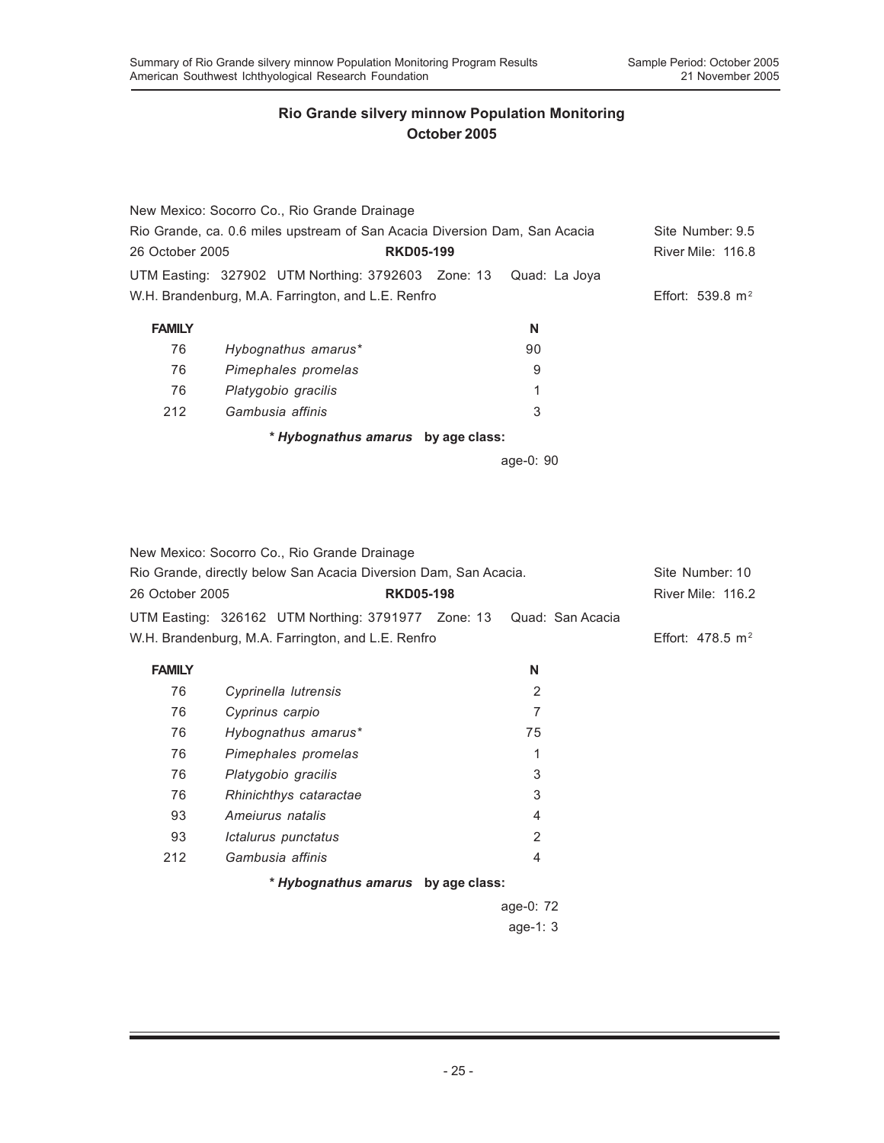|                 | New Mexico: Socorro Co., Rio Grande Drainage                               |               |                          |
|-----------------|----------------------------------------------------------------------------|---------------|--------------------------|
|                 | Rio Grande, ca. 0.6 miles upstream of San Acacia Diversion Dam, San Acacia |               | Site Number: 9.5         |
| 26 October 2005 | <b>RKD05-199</b>                                                           |               | <b>River Mile: 116.8</b> |
|                 | UTM Easting: 327902 UTM Northing: 3792603 Zone: 13                         | Quad: La Joya |                          |
|                 | W.H. Brandenburg, M.A. Farrington, and L.E. Renfro                         |               | Effort: 539.8 $m2$       |
| <b>FAMILY</b>   |                                                                            | N             |                          |
| 76              | Hybognathus amarus*                                                        | 90            |                          |
| 76              | Pimephales promelas                                                        | 9             |                          |
| 76              | Platygobio gracilis                                                        | 1             |                          |
| 212             | Gambusia affinis                                                           | 3             |                          |
|                 | * Hybognathus amarus by age class:                                         |               |                          |

|                                                    | New Mexico: Socorro Co., Rio Grande Drainage                        |  |                   |  |  |
|----------------------------------------------------|---------------------------------------------------------------------|--|-------------------|--|--|
|                                                    | Rio Grande, directly below San Acacia Diversion Dam, San Acacia.    |  |                   |  |  |
| 26 October 2005<br><b>RKD05-198</b>                |                                                                     |  | River Mile: 116.2 |  |  |
|                                                    | UTM Easting: 326162 UTM Northing: 3791977 Zone: 13 Quad: San Acacia |  |                   |  |  |
| W.H. Brandenburg, M.A. Farrington, and L.E. Renfro | Effort: $478.5 \text{ m}^2$                                         |  |                   |  |  |
| <b>FAMILY</b>                                      |                                                                     |  | N                 |  |  |
| 76                                                 | Cyprinella lutrensis                                                |  | $\overline{2}$    |  |  |
| 76                                                 | Cyprinus carpio                                                     |  | 7                 |  |  |
| 76                                                 | Hybognathus amarus*                                                 |  | 75                |  |  |
| 76                                                 | Pimephales promelas                                                 |  | 1                 |  |  |
| 76                                                 | Platygobio gracilis                                                 |  | 3                 |  |  |
| 76                                                 | Rhinichthys cataractae                                              |  | 3                 |  |  |
| 93                                                 | Amejurus natalis                                                    |  | 4                 |  |  |
| 93                                                 | Ictalurus punctatus                                                 |  | $\overline{2}$    |  |  |
| 212                                                | Gambusia affinis                                                    |  | 4                 |  |  |
|                                                    | * Hybognathus amarus by age class:                                  |  |                   |  |  |
|                                                    |                                                                     |  | age-0: 72         |  |  |
|                                                    |                                                                     |  | age-1: $3$        |  |  |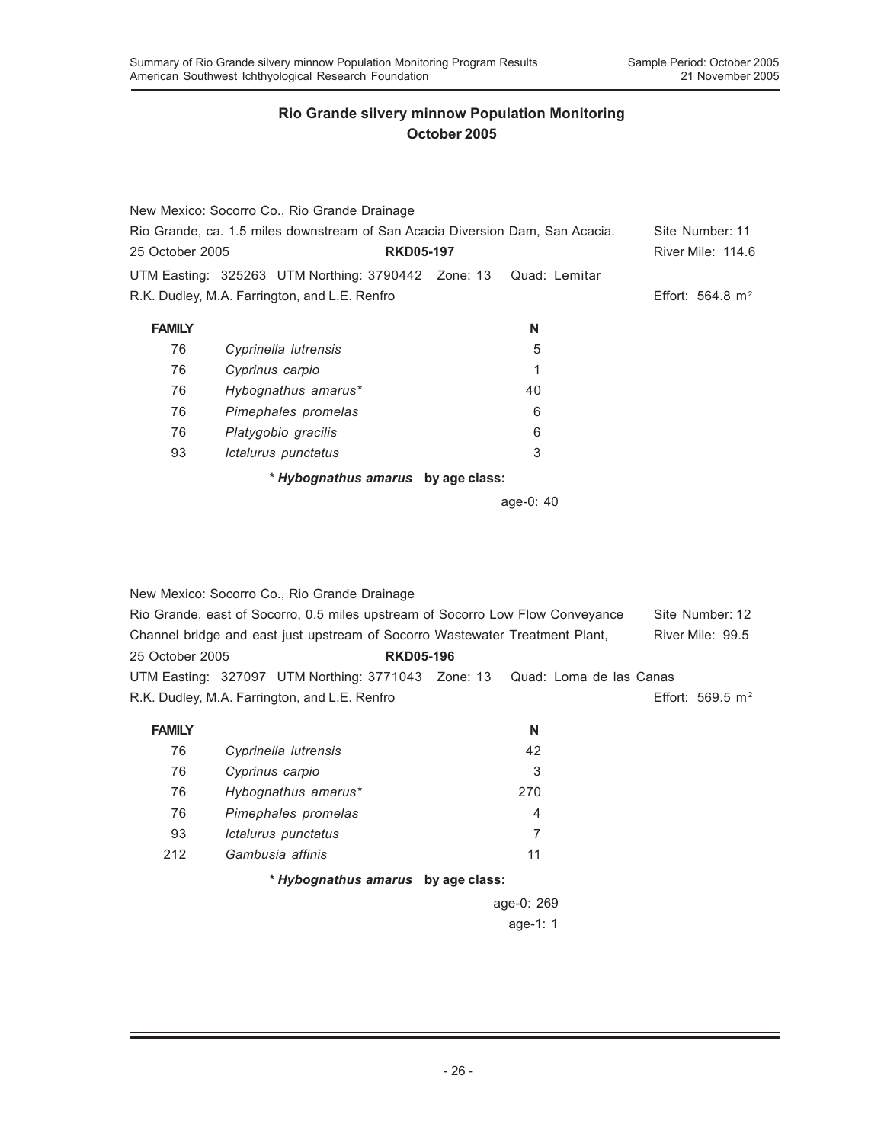|                                                                               | New Mexico: Socorro Co., Rio Grande Drainage                     |           |                    |
|-------------------------------------------------------------------------------|------------------------------------------------------------------|-----------|--------------------|
| Rio Grande, ca. 1.5 miles downstream of San Acacia Diversion Dam, San Acacia. | Site Number: 11                                                  |           |                    |
| 25 October 2005                                                               | <b>RKD05-197</b>                                                 |           | River Mile: 114.6  |
|                                                                               | UTM Easting: 325263 UTM Northing: 3790442 Zone: 13 Quad: Lemitar |           |                    |
|                                                                               | R.K. Dudley, M.A. Farrington, and L.E. Renfro                    |           | Effort: 564.8 $m2$ |
| <b>FAMILY</b>                                                                 |                                                                  | N         |                    |
| 76                                                                            | Cyprinella lutrensis                                             | 5         |                    |
| 76                                                                            | Cyprinus carpio                                                  | 1         |                    |
| 76                                                                            | Hybognathus amarus*                                              | 40        |                    |
| 76                                                                            | Pimephales promelas                                              | 6         |                    |
| 76                                                                            | Platygobio gracilis                                              | 6         |                    |
| 93                                                                            | Ictalurus punctatus                                              | 3         |                    |
|                                                                               | * Hybognathus amarus by age class:                               |           |                    |
|                                                                               |                                                                  | age-0: 40 |                    |

|                                     | New Mexico: Socorro Co., Rio Grande Drainage                                   |  |  |                |  |                     |
|-------------------------------------|--------------------------------------------------------------------------------|--|--|----------------|--|---------------------|
|                                     | Rio Grande, east of Socorro, 0.5 miles upstream of Socorro Low Flow Conveyance |  |  |                |  | Site Number: 12     |
|                                     | Channel bridge and east just upstream of Socorro Wastewater Treatment Plant,   |  |  |                |  | River Mile: 99.5    |
| <b>RKD05-196</b><br>25 October 2005 |                                                                                |  |  |                |  |                     |
|                                     | UTM Easting: 327097 UTM Northing: 3771043 Zone: 13 Quad: Loma de las Canas     |  |  |                |  |                     |
|                                     | R.K. Dudley, M.A. Farrington, and L.E. Renfro                                  |  |  |                |  | Effort: 569.5 $m^2$ |
| <b>FAMILY</b>                       |                                                                                |  |  | N              |  |                     |
| 76                                  | Cyprinella lutrensis                                                           |  |  | 42             |  |                     |
| 76                                  | Cyprinus carpio                                                                |  |  | 3              |  |                     |
| 76                                  | Hybognathus amarus*                                                            |  |  | 270            |  |                     |
| 76                                  | Pimephales promelas                                                            |  |  | $\overline{4}$ |  |                     |
| 93                                  | Ictalurus punctatus                                                            |  |  | 7              |  |                     |
| 212                                 | Gambusia affinis                                                               |  |  | 11             |  |                     |

### *\* Hybognathus amarus* **by age class:**

age-0: 269 age-1: 1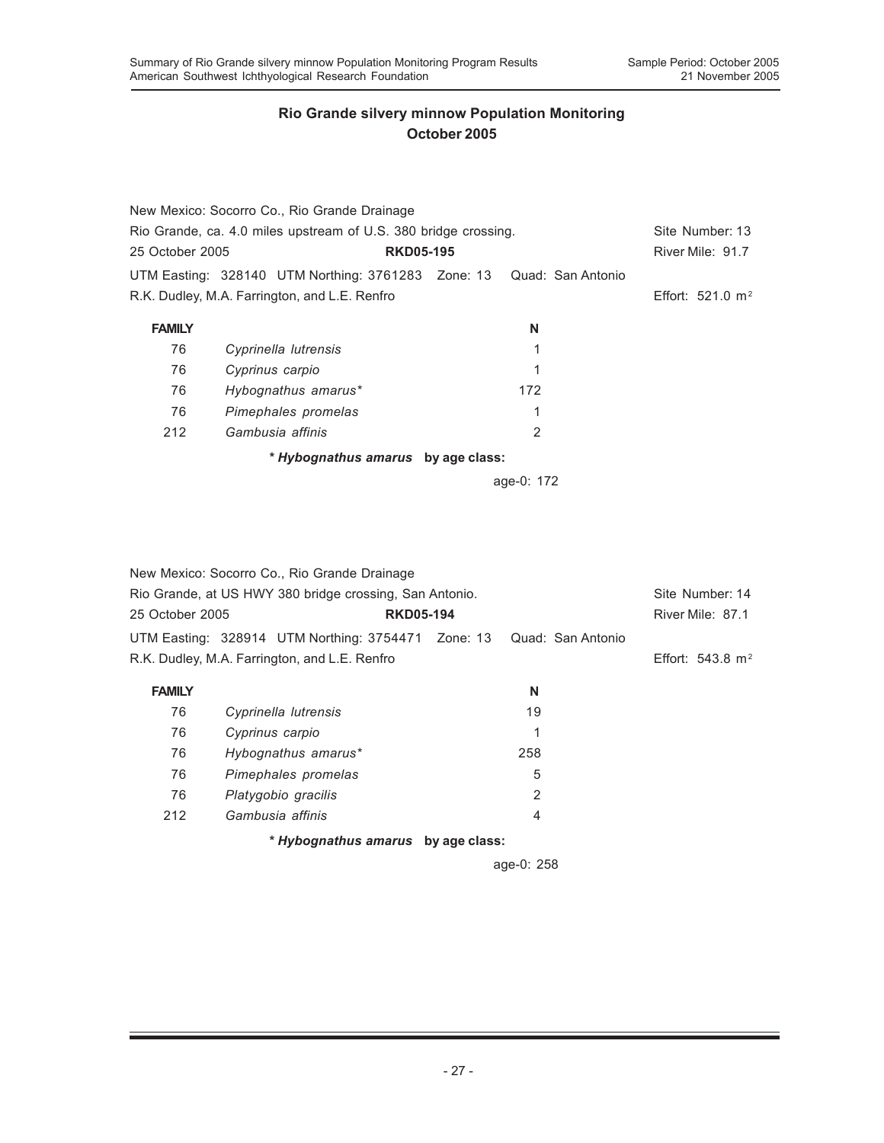|                                                                 | New Mexico: Socorro Co., Rio Grande Drainage                         |  |     |                    |  |
|-----------------------------------------------------------------|----------------------------------------------------------------------|--|-----|--------------------|--|
| Rio Grande, ca. 4.0 miles upstream of U.S. 380 bridge crossing. | Site Number: 13                                                      |  |     |                    |  |
| 25 October 2005                                                 | <b>RKD05-195</b>                                                     |  |     | River Mile: 91.7   |  |
|                                                                 | UTM Easting: 328140 UTM Northing: 3761283 Zone: 13 Quad: San Antonio |  |     |                    |  |
|                                                                 | R.K. Dudley, M.A. Farrington, and L.E. Renfro                        |  |     | Effort: 521.0 $m2$ |  |
| <b>FAMILY</b>                                                   |                                                                      |  | N   |                    |  |
| 76                                                              | Cyprinella lutrensis                                                 |  |     |                    |  |
| 76                                                              | Cyprinus carpio                                                      |  | 1   |                    |  |
| 76                                                              | Hybognathus amarus*                                                  |  | 172 |                    |  |
| 76                                                              | Pimephales promelas                                                  |  | 1   |                    |  |
| 212                                                             | Gambusia affinis                                                     |  | 2   |                    |  |
|                                                                 | * Hybognathus amarus by age class:                                   |  |     |                    |  |
|                                                                 |                                                                      |  |     |                    |  |

age-0: 172

|                 | New Mexico: Socorro Co., Rio Grande Drainage                         |                  |                |                    |
|-----------------|----------------------------------------------------------------------|------------------|----------------|--------------------|
|                 | Rio Grande, at US HWY 380 bridge crossing, San Antonio.              |                  |                | Site Number: 14    |
| 25 October 2005 |                                                                      | <b>RKD05-194</b> |                | River Mile: 87.1   |
|                 | UTM Easting: 328914 UTM Northing: 3754471 Zone: 13 Quad: San Antonio |                  |                |                    |
|                 | R.K. Dudley, M.A. Farrington, and L.E. Renfro                        |                  |                | Effort: 543.8 $m2$ |
| <b>FAMILY</b>   |                                                                      |                  | N              |                    |
| 76              | Cyprinella lutrensis                                                 |                  | 19             |                    |
| 76              | Cyprinus carpio                                                      |                  | 1              |                    |
| 76              | Hybognathus amarus*                                                  |                  | 258            |                    |
| 76              | Pimephales promelas                                                  |                  | 5              |                    |
| 76              | Platygobio gracilis                                                  |                  | $\overline{2}$ |                    |
| 212             | Gambusia affinis                                                     |                  | 4              |                    |
|                 | * Hybognathus amarus by age class:                                   |                  |                |                    |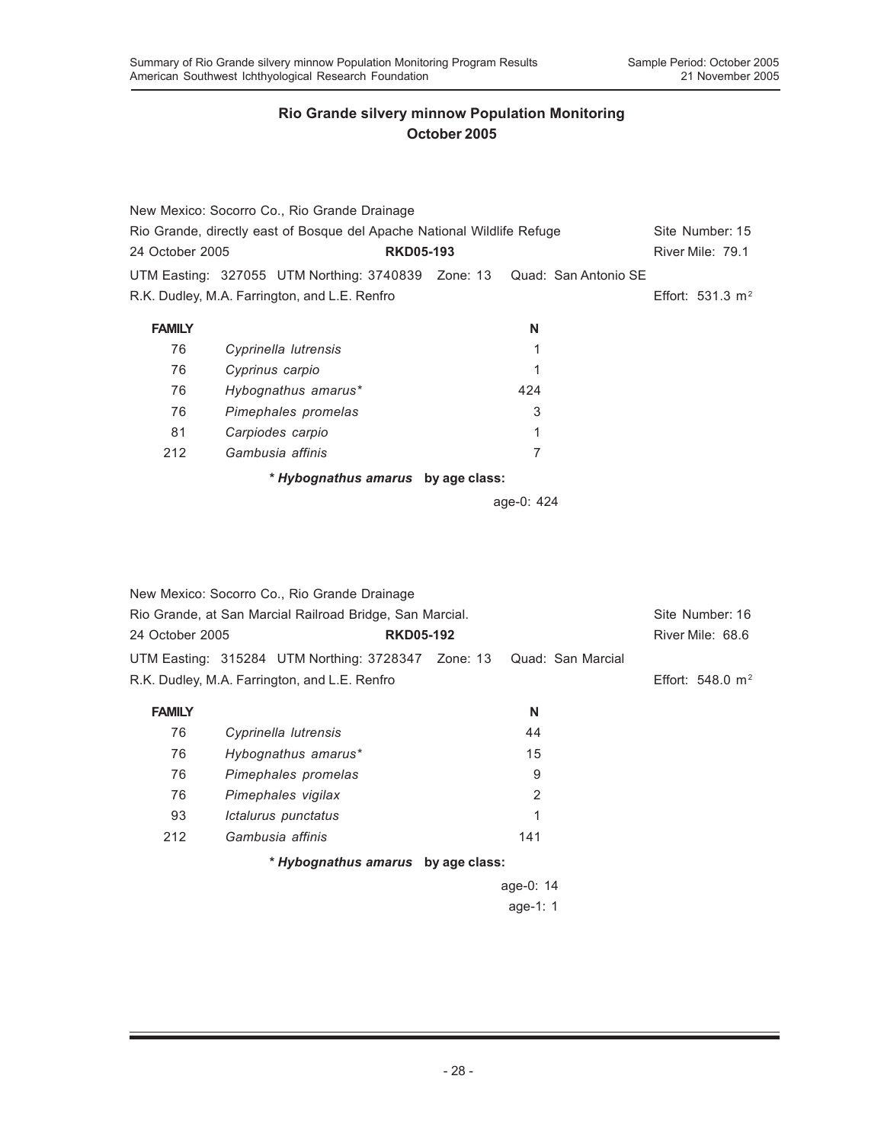|                                                                         | New Mexico: Socorro Co., Rio Grande Drainage                            |  |            |                    |                  |
|-------------------------------------------------------------------------|-------------------------------------------------------------------------|--|------------|--------------------|------------------|
| Rio Grande, directly east of Bosque del Apache National Wildlife Refuge |                                                                         |  |            |                    | Site Number: 15  |
| 24 October 2005                                                         | <b>RKD05-193</b>                                                        |  |            |                    | River Mile: 79.1 |
|                                                                         | UTM Easting: 327055 UTM Northing: 3740839 Zone: 13 Quad: San Antonio SE |  |            |                    |                  |
| R.K. Dudley, M.A. Farrington, and L.E. Renfro                           |                                                                         |  |            | Effort: 531.3 $m2$ |                  |
| <b>FAMILY</b>                                                           |                                                                         |  | N          |                    |                  |
| 76                                                                      | Cyprinella lutrensis                                                    |  |            |                    |                  |
| 76                                                                      | Cyprinus carpio                                                         |  |            |                    |                  |
| 76                                                                      | Hybognathus amarus*                                                     |  | 424        |                    |                  |
| 76                                                                      | Pimephales promelas                                                     |  | 3          |                    |                  |
| 81                                                                      | Carpiodes carpio                                                        |  |            |                    |                  |
| 212                                                                     | Gambusia affinis                                                        |  | 7          |                    |                  |
|                                                                         | * Hybognathus amarus by age class:                                      |  |            |                    |                  |
|                                                                         |                                                                         |  | age-0: 424 |                    |                  |

|                                                          | New Mexico: Socorro Co., Rio Grande Drainage       |                   |                     |
|----------------------------------------------------------|----------------------------------------------------|-------------------|---------------------|
| Rio Grande, at San Marcial Railroad Bridge, San Marcial. | Site Number: 16                                    |                   |                     |
| 24 October 2005                                          | <b>RKD05-192</b>                                   |                   | River Mile: 68.6    |
|                                                          | UTM Easting: 315284 UTM Northing: 3728347 Zone: 13 | Quad: San Marcial |                     |
|                                                          | R.K. Dudley, M.A. Farrington, and L.E. Renfro      |                   | Effort: 548.0 $m^2$ |
| <b>FAMILY</b>                                            |                                                    | N                 |                     |
| 76                                                       | Cyprinella lutrensis                               | 44                |                     |
| 76                                                       | Hybognathus amarus*                                | 15                |                     |
| 76                                                       | Pimephales promelas                                | 9                 |                     |
| 76                                                       | Pimephales vigilax                                 | 2                 |                     |
| 93                                                       | Ictalurus punctatus                                | 1                 |                     |
| 212                                                      | Gambusia affinis                                   | 141               |                     |
|                                                          | * Hybognathus amarus by age class:                 |                   |                     |
|                                                          |                                                    | age-0: $14$       |                     |
|                                                          |                                                    |                   |                     |

age-1: 1